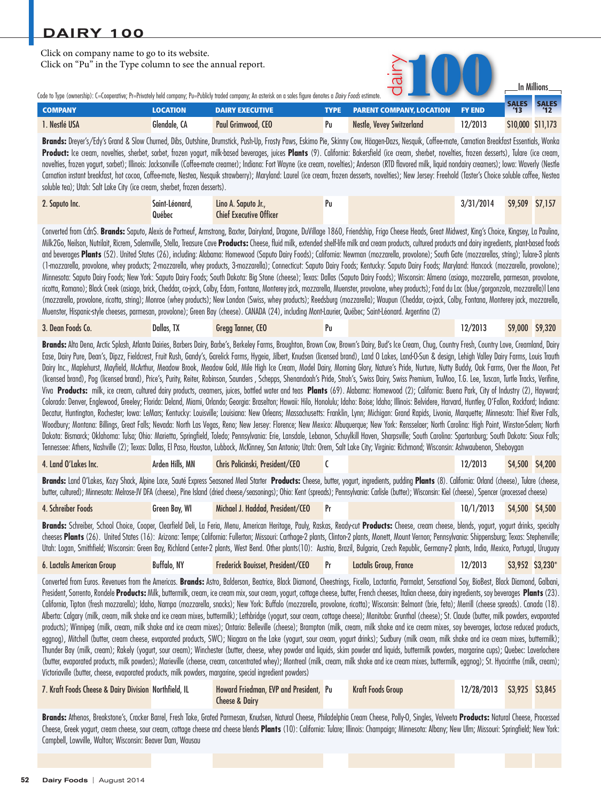| Click on company name to go to its website.<br>Click on "Pu" in the Type column to see the annual report. |                 | Code to Type (ownership): C=Cooperative; Pr=Privately held company; Pu=Publicly traded company; An asterisk on a sales figure denotes a <i>Dairy Foods</i> estimate.                                                                                                                                                                                                                                     |             |                                 |               | <b>In Millions</b> |                     |
|-----------------------------------------------------------------------------------------------------------|-----------------|----------------------------------------------------------------------------------------------------------------------------------------------------------------------------------------------------------------------------------------------------------------------------------------------------------------------------------------------------------------------------------------------------------|-------------|---------------------------------|---------------|--------------------|---------------------|
| <b>COMPANY</b>                                                                                            | <b>LOCATION</b> | <b>DAIRY EXECUTIVE</b>                                                                                                                                                                                                                                                                                                                                                                                   | <b>TYPE</b> | <b>PARENT COMPANY, LOCATION</b> | <b>FY END</b> | <b>SALES</b><br>13 | <b>SALES</b><br>112 |
| 1. Nestlé USA                                                                                             | Glendale, CA    | Paul Grimwood, CEO                                                                                                                                                                                                                                                                                                                                                                                       | Pu          | Nestle, Vevey Switzerland       | 12/2013       | \$10,000 \$11,173  |                     |
|                                                                                                           |                 | Brands: Dreyer's/Edy's Grand & Slow Churned, Dibs, Outshine, Drumstick, Push-Up, Frosty Paws, Eskimo Pie, Skinny Cow, Häagen-Dazs, Nesquik, Coffee-mate, Carnation Breakfast Essentials, Wonka<br><b>Product:</b> Ice cream novelties sherhet sorbet frozen vogurt milk-based heveranes juices <b>Plants</b> (9) California: Rakersfield (ice cream sherhet novelties frozen desserts) Julare (ice cream |             |                                 |               |                    |                     |

**Product:** Ice cream, novelties, sherbet, sorbet, frozen yogurt, milk-based beverages, juices **Plants** (9). California: Bakersfield (ice cream, sherbet, novelties, frozen desserts), Tulare (ice cream, [novelties, frozen yog](http://www.saputo.com/)urt, sorbet); Illinois: Jacksonville (Coffee-mate creamer); Indiana: Fort Wayne (ice crea[m, novelti](http://www.saputo.com/uploadedFiles/Saputo/investors-and-medias/financial-documents/SAP_RA2014_EN.pdf)es); Anderson (RTD flavored milk, liquid nondairy creamers); Iowa: Waverly (Nestle Carnation instant breakfast, hot cocoa, Coffee-mate, Nestea, Nesquik strawberry); Maryland: Laurel (ice cream, frozen desserts, novelties); New Jersey: Freehold (Taster's Choice soluble coffee, Nestea soluble tea); Utah: Salt Lake City (ice cream, sherbet, frozen desserts).

| 2. Saputo Inc. | Saint-Léonard. | Lino A. Saputo Jr.,            |  | 3/31/2014 | \$9,509 \$7,157 |  |
|----------------|----------------|--------------------------------|--|-----------|-----------------|--|
|                | Québec         | <b>Chief Executive Officer</b> |  |           |                 |  |

Converted from Cdn\$. **Brands:** Saputo, Alexis de Portneuf, Armstrong, Baxter, Dairyland, Dragone, DuVillage 1860, Friendship, Frigo Cheese Heads, Great Midwest, King's Choice, Kingsey, La Paulina, Milk2Go, Neilson, Nutrilait, Ricrem, Salemville, Stella, Treasure Cave **Products:** Cheese, fluid milk, extended shelf-life milk and cream products, cultured products and dairy ingredients, plant-based foods and beverages Plants (52). United States (26), including: Alabama: Homewood (Saputo Dairy Foods); California: Newman (mozzarella, provolone); South Gate (mozzarellas, string); Tulare-3 plants (1-mozzarella, provolone, whey products; 2-mozzarella, whey products, 3-mozzarella); Connecticut: Saputo Dairy Foods; Kentucky: Saputo Dairy Foods; Maryland: Hancock (mozzarella, provolone); Minnesota: Saputo Dairy Foods; New York: Saputo Dairy Foods; South Dakota: Big Stone (cheese); Texas: Dallas (Saputo Dairy Foods); Wisconsin: Almena (asiago, mozzarella, parmesan, provolone, [ricotta, Romano\); Black Creek](http://www.deanfoods.com) (asiago, brick, Cheddar, co-jack, Colby, Edam, Fontana, Monterey jack, mozzar[ella, Muenste](http://www.deanfoods.com/media/93440/annual_report_-_pdf_for_web_posting.pdf)r, provolone, whey products); Fond du Lac (blue/gorgonzola, mozzarella)l Lena (mozzarella, provolone, ricotta, string); Monroe (whey products); New London (Swiss, whey products); Reedsburg (mozzarella); Waupun (Cheddar, co-jack, Colby, Fontana, Monterey jack, mozzarella, Muenster, Hispanic-style cheeses, parmesan, provolone); Green Bay (cheese). CANADA (24), including Mont-Laurier, Québec; Saint-Léonard. Argentina (2)

| 3. Dean Foods Co. | Dallas. TX | Greaa Tanner, CEO |  |  | 12/2013 | \$9,000 | <b>S9.320</b> |
|-------------------|------------|-------------------|--|--|---------|---------|---------------|
|-------------------|------------|-------------------|--|--|---------|---------|---------------|

**Brands:** Alta Dena, Arctic Splash, Atlanta Dairies, Barbers Dairy, Barbe's, Berkeley Farms, Broughton, Brown Cow, Brown's Dairy, Bud's Ice Cream, Chug, Country Fresh, Country Love, Creamland, Dairy Ease, Dairy Pure, Dean's, Dipzz, Fieldcrest, Fruit Rush, Gandy's, Garelick Farms, Hygeia, Jilbert, Knudsen (licensed brand), Land O Lakes, Land-O-Sun & design, Lehigh Valley Dairy Farms, Louis Trauth Dairy Inc., Maplehurst, Mayfield, McArthur, Meadow Brook, Meadow Gold, Mile High Ice Cream, Model Dairy, Morning Glory, Nature's Pride, Nurture, Nutty Buddy, Oak Farms, Over the Moon, Pet (licensed brand), Pog (licensed brand), Price's, Purity, Reiter, Robinson, Saunders , Schepps, Shenandoah's Pride, Stroh's, Swiss Dairy, Swiss Premium, TruMoo, T.G. Lee, Tuscan, Turtle Tracks, Verifine, Viva **Products:** milk, ice cream, cultured dairy products, creamers, juices, bottled water and teas **Plants** (69). Alabama: Homewood (2); California: Buena Park, City of Industry (2), Hayward; Colorado: Denver, Englewood, Greeley; Florida: Deland, Miami, Orlando; Georgia: Braselton; Hawaii: Hilo, Honolulu; Idaho: Boise; Idaho; Illinois: Belvidere, Harvard, Huntley, O'Fallon, Rockford; Indiana: Decatur, Huntington, Rochester; Iowa: LeMars; Kentucky: Louisville; Louisiana: New Orleans; Massachusetts: Franklin, Lynn; Michigan: Grand Rapids, Livonia, Marquette; Minnesota: Thief River Falls, [Woodbury; Montana: Billings, Gre](http://www.landolakesinc.com)at Falls; Nevada: North Las Vegas, Reno; New Jersey: Florence; New Mexico: Albuquerque; New York: Rensselaer; North Carolina: High Point, Winston-Salem; North Dakota: Bismarck; Oklahoma: Tulsa; Ohio: Marietta, Springfield, Toledo; Pennsylvania: Erie, Lansdale, Lebanon, Schuylkill Haven, Sharpsville; South Carolina: Spartanburg; South Dakota: Sioux Falls; Tennessee: Athens, Nashville (2); Texas: Dallas, El Paso, Houston, Lubbock, McKinney, San Antonio; Utah: Orem, Salt Lake City; Virginia: Richmond; Wisconsin: Ashwaubenon, Sheboygan

#### [4. Land O'Lakes Inc.](http://www.schreiberfoods.com) Arden Hills, MN Chris Policinski, President/CEO C 12/2013 \$4,500 \$4,200

**Brands:** Land O'Lakes, Kozy Shack, Alpine Lace, Sauté Express Seasoned Meal Starter **Products:** Cheese, butter, yogurt, ingredients, pudding **Plants** (8). California: Orland (cheese), Tulare (cheese, butter, cultured); Minnesota: Melrose-JV DFA (cheese), Pine Island (dried cheese/seasonings); Ohio: Kent (spreads); Pennsylvania: Carlisle (butter); Wisconsin: Kiel (cheese), Spencer (processed cheese)

### 4. Schreiber Foods Green Bay, WI Michael J. Haddad, President/CEO Pr 10/1/2013 \$4,500 \$4,500 \$4,500

**Brands:** [Schreiber, School Choice,](http://www.lactalisamericangroup.com/) Cooper, Clearfield Deli, La Feria, Menu, American Heritage, Pauly, Raskas, Ready-cut **Products:** Cheese, cream cheese, blends, yogurt, yogurt drinks, specialty cheeses **Plants** (26). United States (16): Arizona: Tempe; California: Fullerton; Missouri: Carthage-2 plants, Clinton-2 plants, Monett, Mount Vernon; Pennsylvania: Shippensburg; Texas: Stephenville; Utah: Logan, Smithfield; Wisconsin: Green Bay, Richland Center-2 plants, West Bend. Other plants(10): Austria, Brazil, Bulgaria, Czech Republic, Germany-2 plants, India, Mexico, Portugal, Uruguay

#### 6. Lactalis American Group Buffalo, NY Frederick Bouisset, President/CEO Pr Lactalis Group, France 12/2013 \$3,952 \$3,230\*

Converted from Euros. Revenues from the Americas. **Brands:** Astro, Balderson, Beatrice, Black Diamond, Cheestrings, Ficello, Lactantia, Parmalat, Sensational Soy, BioBest, Black Diamond, Galbani, President, Sorrento, Rondele **Products:** Milk, buttermilk, cream, ice cream mix, sour cream, yogurt, cottage cheese, butter, French cheeses, Italian cheese, dairy ingredients, soy beverages **Plants** (23). California, Tipton (fresh mozzarella); Idaho, Nampa (mozzarella, snacks); New York: Buffalo (mozzarella, provolone, ricotta); Wisconsin: Belmont (brie, feta); Merrill (cheese spreads). Canada (18). Alberta: Calgary (milk, cream, milk shake and ice cream mixes, buttermilk); Lethbridge (yogurt, sour cream, cottage cheese); Manitoba: Grunthal (cheese); St. Claude (butter, milk powders, evaporated products); Winnipeg (milk, cream, milk shake and ice cream mixes); Ontario: Belleville (cheese); Brampton (milk, cream, milk shake and ice cream mixes, soy beverages, lactose reduced products, eggnog), Mitchell (butter, cream cheese, evaporated products, SWC); Niagara on the Lake (yogurt, sour cream, yogurt drinks); Sudbury (milk cream, milk shake and ice cream mixes, buttermilk); [Thunder Bay \(milk, cream\); Rakely \(yogu](http://www.kraftfoodsgroup.com)rt, sour cream); Winchester (butter, cheese, whey powder and liquids, skim powder and liquids, buttermilk powders, margarine cups); Quebec: Laverlochere (butter, evaporated products, milk powders); Marieville (cheese, cream, concentrated whey); Montreal (mil[k, cream, m](http://ir.kraftfoodsgroup.com/annuals.cfm)ilk shake and ice cream mixes, buttermilk, eggnog); St. Hyacinthe (milk, cream); Victoriaville (butter, cheese, evaporated products, milk powders, margarine, special ingredient powders)

| 7. Kraft Foods Cheese & Dairy Division Northfield. IL | Howard Friedman, EVP and President. Pu | Kraft Foods Group | 12/28/2013 \$3,925 \$3,845 |  |
|-------------------------------------------------------|----------------------------------------|-------------------|----------------------------|--|
|                                                       | Cheese & Dairy                         |                   |                            |  |

**Brands:** Athenos, Breakstone's, Cracker Barrel, Fresh Take, Grated Parmesan, Knudsen, Natural Cheese, Philadelphia Cream Cheese, Polly-O, Singles, Velveeta **Products:** Natural Cheese, Processed Cheese, Greek yogurt, cream cheese, sour cream, cottage cheese and cheese blends **Plants** (10): California: Tulare; Illinois: Champaign; Minnesota: Albany; New Ulm; Missouri: Springfield; New York: Campbell, Lowville, Walton; Wisconsin: Beaver Dam, Wausau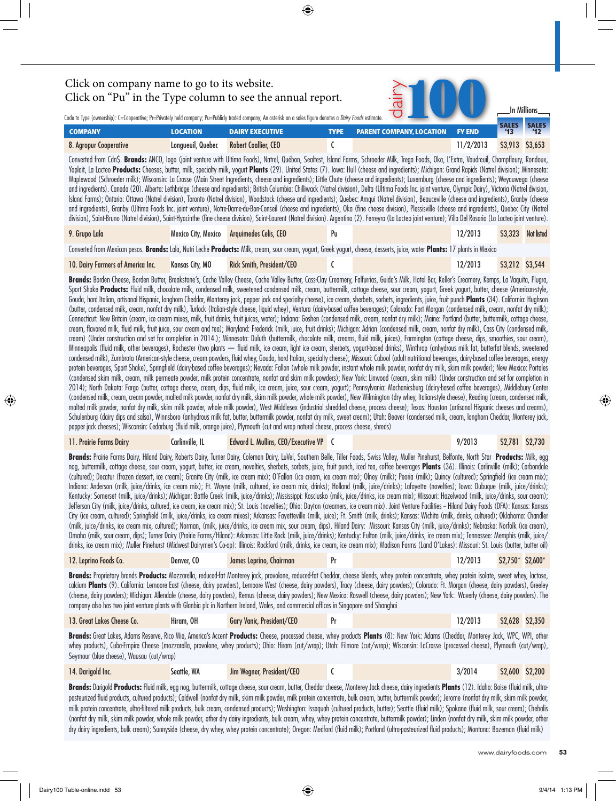SALES SALE **COMPANY LOCATION DAIRY EXECUTIVE TYPE PARENT COMPANY, LOCATION FY END** Code to Type (ownership): C=Cooperative; Pr=Privately held company; Pu=Publicly traded company; An asterisk on a sales figure denotes a *Dairy Foods* estimate In Millions [8. Agropur Cooperative](http://www.agropur.com) Longueuil, Quebec Robert Coallier, CEO C 11/2/2013 \$3,913 \$3,653 Converted from Cdn\$. **Brands:** ANCO, Iogo (joint venture with Ultima Foods), Natrel, Québon, Sealtest, Island Farms, Schroeder Milk, Trega Foods, Oka, L'Extra, Vaudreuil, Champfleury, Rondoux, Yoplait, La Lacteo **Products:** Cheeses, butter, milk, specialty milk, yogurt **Plants** (29). United States (7). Iowa: Hull (cheese and ingredients); Michigan: Grand Rapids (Natrel division); Minnesota: Maplewood (Schroeder milk); Wisconsin: La Crosse (Main Street Ingredients, cheese and ingredients); Little Chute (cheese and ingredients); Luxemburg (cheese and ingredients); Weyauwega (cheese and ingredients). Canada (20). Alberta: Lethbridge (cheese and ingredients); British Columbia: Chilliwack (Natrel division), Delta (Ultima Foods Inc. joint venture, Olympic Dairy), Victoria (Natrel division, Island Farms); Ontario: Ottawa (Natrel division), Toronto (Natrel division), Woodstock (cheese and ingredients); Quebec: Amqui (Natrel division), Beauceville (cheese and ingredients), Granby (cheese and ingredients), Granby (Ultima Foods Inc. joint venture), Notre-Dame-du-Bon-Conseil (cheese and ingredients), Oka (fine cheese division), Plessisville (cheese and ingredients), Quebec City (Natrel division), Saint-Bruno (Natrel division), Saint-Hyacinthe (fine cheese division), Saint-Laurent (Natrel division). Argentina (2). Ferreyra (La Lacteo joint venture); Villa Del Rosario (La Lacteo joint venture). [9. Grupo Lala](http://www.grupolala.com/) Mexico City, Mexico Arquimedes Celis, CEO [Pu](http://www.grupolala.com/informe2013) 12/2013 \$3,323 Not listed Converted from Mexican pesos. **Brands:** Lala, Nutri Leche **Products:** Milk, cream, sour cream, yogurt, Greek yogurt, cheese, desserts, juice, water **Plants:** 17 plants in Mexico [10. Dairy Farmers of America Inc.](http://www.dfamilk.com/) Kansas City, MO Rick Smith, President/CEO C 12/2013 \$3,212 \$3,544 Brands: Borden Cheese, Borden Butter, Breakstone's, Cache Valley Cheese, Cache Valley Butter, Cass-Clay Creamery, Falfurrias, Guida's Milk, Hotel Bar, Keller's Creamery, Kemps, La Vaquita, Plugra, Sport Shake Products: Fluid milk, chocolate milk, condensed milk, sweetened condensed milk, cream, buttermilk, cottage cheese, sour cream, yogurt, Greek yogurt, butter, cheese (American-style, Gouda, hard Italian, artisanal Hispanic, longhorn Cheddar, Monterey jack, pepper jack and specialty cheese), ice cream, sherbets, sorbets, ingredients, juice, fruit punch **Plants** (34). California: Hughson (butter, condensed milk, cream, nonfat dry milk), Turlock (Italian-style cheese, liquid whey), Ventura (dairy-based coffee beverages); Colorado: Fort Morgan (condensed milk, cream, nonfat dry milk); Connecticut: New Britain (cream, ice cream mixes, milk, fruit drinks, fruit juices, water); Indiana: Goshen (condensed milk, cream, nonfat dry milk); Maine: Portland (butter, buttermilk, cottage cheese, cream, flavored milk, fluid milk, fruit juice, sour cream and tea); Maryland: Frederick (milk, juice, fruit drinks); Michigan: Adrian (condensed milk, cream, nonfat dry milk), Cass City (condensed milk, cream) (Under construction and set for completion in 2014.); Minnesota: Duluth (buttermilk, chocolate milk, creams, fluid milk, juices), Farmington (cottage cheese, dips, smoothies, sour cream), Minneapolis (fluid milk, other beverages), Rochester (two plants — fluid milk, ice cream, light ice cream, sherbets, yogurt-based drinks), Winthrop (anhydrous milk fat, butterfat blends, sweetened condensed milk), Zumbrota (American-style cheese, cream powders, fluid whey, Gouda, hard Italian, specialty cheese); Missouri: Cabool (adult nutritional beverages, dairy-based coffee beverages, energy protein beverages, Sport Shake), Springfield (dairy-based coffee beverages); Nevada: Fallon (whole milk powder, instant whole milk powder, nonfat dry milk, skim milk powder); New Mexico: Portales (condensed skim milk, cream, milk permeate powder, milk protein concentrate, nonfat and skim milk powders); New York: Linwood (cream, skim milk) (Under construction and set for completion in 2014); North Dakota: Fargo (butter, cottage cheese, cream, dips, fluid milk, ice cream, juice, sour cream, yogurt); Pennsylvania: Mechanicsburg (dairy-based coffee beverages), Middlebury Center (condensed milk, cream, cream powder, malted milk powder, nonfat dry milk, skim milk powder, whole milk powder), New Wilmington (dry whey, Italian-style cheese), Reading (cream, condensed milk, malted milk powder, nonfat dry milk, skim milk powder, whole milk powder), West Middlesex (industrial shredded cheese, process cheese); Texas: Houston (artisanal Hispanic cheeses and creams), Schulenburg (dairy dips and salsa), Winnsboro (anhydrous milk fat, butter, buttermilk powder, nonfat dry milk, sweet cream); Utah: Beaver (condensed milk, cream, longhorn Cheddar, Monterey jack, pepper jack cheeses); Wisconsin: Cedarburg (fluid milk, orange juice), Plymouth (cut and wrap natural cheese, process cheese, shreds) [11. Prairie Farms Dairy](http://www.prairiefarms.com/) Carlinville, IL Edward L. Mullins, CEO/Executive VP C 9/2013 \$2,781 \$2,730 **Brands:** Prairie Farms Dairy, Hiland Dairy, Roberts Dairy, Turner Dairy, Coleman Dairy, LuVel, Southern Belle, Tiller Foods, Swiss Valley, Muller Pinehurst, Belfonte, North Star **Products:** Milk, egg nog, buttermilk, cottage cheese, sour cream, yogurt, butter, ice cream, novelties, sherbets, sorbets, juice, fruit punch, iced tea, coffee beverages **Plants** (36). Illinois: Carlinville (milk); Carbondale (cultured); Decatur (frozen dessert, ice cream); Granite City (milk, ice cream mix); O'Fallon (ice cream, ice cream mix); Olney (milk); Peoria (milk); Quincy (cultured); Springfield (ice cream mix); Indiana: Anderson (milk, juice/drinks, ice cream mix); Ft. Wayne (milk, cultured, ice cream mix, drinks); Holland (milk, juice/drinks); Lafayette (novelties); Iowa: Dubuque (milk, juice/drinks); Kentucky: Somerset (milk, juice/drinks); Michigan: Battle Creek (milk, juice/drinks); Mississippi: Kosciusko (milk, juice/drinks, ice cream mix); Missouri: Hazelwood (milk, juice/drinks, sour cream); Jefferson City (milk, juice/drinks, cultured, ice cream, ice cream mix); St. Louis (novelties); Ohio: Dayton (creamers, ice cream mix). Joint Venture Facilities -- Hiland Dairy Foods (DFA): Kansas: Kansas City (ice cream, cultured); Springfield (milk, juice/drinks, ice cream mixes); Arkansas: Fayetteville (milk, juice); Ft. Smith (milk, drinks); Kansas: Wichita (milk, drinks, cultured); Oklahoma: Chandler (milk, juice/drinks, ice cream mix, cultured); Norman, (milk, juice/drinks, ice cream mix, sour cream, dips). Hiland Dairy: Missouri: Kansas City (milk, juice/drinks); Nebraska: Norfolk (ice cream), Omaha (milk, sour cream, dips); Turner Dairy (Prairie Farms/Hiland): Arkansas: Little Rock (milk, juice/drinks); Kentucky: Fulton (milk, juice/drinks, ice cream mix); Tennessee: Memphis (milk, juice/ drinks, ice cream mix); Muller Pinehurst (Midwest Dairymen's Co-op): Illinois: Rockford (milk, drinks, ice cream, ice cream mix); Madison Farms (Land O'Lakes): Missouri: St. Louis (butter, butter oil) [12. Leprino Foods Co.](http://www.leprinofoods.com/) Denver, CO James Leprino, Chairman Pr 12/2013 \$2,750\* \$2,600\* **Brands:** Proprietary brands **Products:** Mozzarella, reduced-fat Monterey jack, provolone, reduced-fat Cheddar, cheese blends, whey protein concentrate, whey protein isolate, sweet whey, lactose, calcium **Plants** (9). California: Lemoore East (cheese, dairy powders), Lemoore West (cheese, dairy powders), Tracy (cheese, dairy powders); Colorado: Ft. Morgan (cheese, dairy powders), Greeley (cheese, dairy powders); Michigan: Allendale (cheese, dairy powders), Remus (cheese, dairy powders); New Mexico: Roswell (cheese, dairy powders); New York: Waverly (cheese, dairy powders). The company also has two joint venture plants with Glanbia plc in Northern Ireland, Wales, and commercial offices in Singapore and Shanghai [13. Great Lakes Cheese Co.](http://www.greatlakescheese.com/) Hiram, OH Gary Vanic, President/CEO Pr 12/2013 \$2,628 \$2,350 **Brands:** Great Lakes, Adams Reserve, Rico Mia, America's Accent **Products:** Cheese, processed cheese, whey products **Plants** (8): New York: Adams (Cheddar, Monterey Jack, WPC, WPI, other whey products), Cuba-Empire Cheese (mozzarella, provolone, whey products); Ohio: Hiram (cut/wrap); Utah: Filmore (cut/wrap); Wisconsin: LaCrosse (processed cheese), Plymouth (cut/wrap), Seymour (blue cheese), Wausau (cut/wrap) [14. Darigold Inc.](http://www.darigold.com/) Seattle, WA Jim Wegner, President/CEO C 3/2014 \$2,600 \$2,200 **Brands:** Darigold **Products:** Fluid milk, egg nog, buttermilk, cottage cheese, sour cream, butter, Cheddar cheese, Monterey Jack cheese, dairy ingredients **Plants** (12). Idaho: Boise (fluid milk, ultrapasteurized fluid products, cultured products); Caldwell (nonfat dry milk, skim milk powder, milk protein concentrate, bulk cream, butter, buttermilk powder); Jerome (nonfat dry milk, skim milk powder, Click on company name to go to its website. Click on "Pu" in the Type column to see the annual report.

milk protein concentrate, ultra-filtered milk products, bulk cream, condensed products); Washington: Issaquah (cultured products, butter); Seattle (fluid milk); Spokane (fluid milk, sour cream); Chehalis (nonfat dry milk, skim milk powder, whole milk powder, other dry dairy ingredients, bulk cream, whey, whey protein concentrate, buttermilk powder); Linden (nonfat dry milk, skim milk powder, other dry dairy ingredients, bulk cream); Sunnyside (cheese, dry whey, whey protein concentrate); Oregon: Medford (fluid milk); Portland (ultra-pasteurized fluid products); Montana: Bozeman (fluid milk)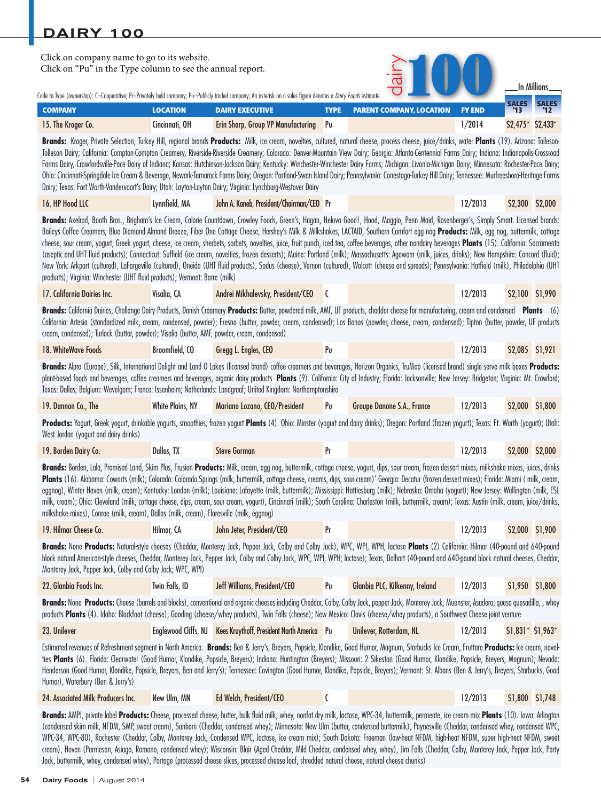| Click on company name to go to its website.<br>Click on "Pu" in the Type column to see the annual report.                                                                                                 |                                                                                                                                                                                                                                                                                                                                                                                                                                                                                                                                                                                                                                                                                                                                                                                                                                                                                                                                                                                                                                                                                                                                                                                                                            |                                                                                                                                                                                                                                                                                                                                                                                                                                                                                                                                                                                                                                                                                                                                                                                                                                 |             |                                 |               |                   | In Millions      |  |  |  |  |
|-----------------------------------------------------------------------------------------------------------------------------------------------------------------------------------------------------------|----------------------------------------------------------------------------------------------------------------------------------------------------------------------------------------------------------------------------------------------------------------------------------------------------------------------------------------------------------------------------------------------------------------------------------------------------------------------------------------------------------------------------------------------------------------------------------------------------------------------------------------------------------------------------------------------------------------------------------------------------------------------------------------------------------------------------------------------------------------------------------------------------------------------------------------------------------------------------------------------------------------------------------------------------------------------------------------------------------------------------------------------------------------------------------------------------------------------------|---------------------------------------------------------------------------------------------------------------------------------------------------------------------------------------------------------------------------------------------------------------------------------------------------------------------------------------------------------------------------------------------------------------------------------------------------------------------------------------------------------------------------------------------------------------------------------------------------------------------------------------------------------------------------------------------------------------------------------------------------------------------------------------------------------------------------------|-------------|---------------------------------|---------------|-------------------|------------------|--|--|--|--|
| Code to Type (ownership): C=Cooperative; Pr=Privately held company; Pu=Publicly traded company; An asterisk on a sales figure denotes a <i>Dairy Foods</i> estimate.                                      |                                                                                                                                                                                                                                                                                                                                                                                                                                                                                                                                                                                                                                                                                                                                                                                                                                                                                                                                                                                                                                                                                                                                                                                                                            |                                                                                                                                                                                                                                                                                                                                                                                                                                                                                                                                                                                                                                                                                                                                                                                                                                 |             |                                 |               | <b>SALES</b>      | <b>SALES</b>     |  |  |  |  |
| <b>COMPANY</b>                                                                                                                                                                                            | <b>LOCATION</b>                                                                                                                                                                                                                                                                                                                                                                                                                                                                                                                                                                                                                                                                                                                                                                                                                                                                                                                                                                                                                                                                                                                                                                                                            | <b>DAIRY EXECUTIVE</b>                                                                                                                                                                                                                                                                                                                                                                                                                                                                                                                                                                                                                                                                                                                                                                                                          | <b>TYPE</b> | <b>PARENT COMPANY, LOCATION</b> | <b>FY END</b> | 13                |                  |  |  |  |  |
| 15. The Kroger Co.                                                                                                                                                                                        | Cincinnati, OH                                                                                                                                                                                                                                                                                                                                                                                                                                                                                                                                                                                                                                                                                                                                                                                                                                                                                                                                                                                                                                                                                                                                                                                                             | Erin Sharp, Group VP Manufacturing                                                                                                                                                                                                                                                                                                                                                                                                                                                                                                                                                                                                                                                                                                                                                                                              | Pu          |                                 | 1/2014        | \$2,475* \$2,433* |                  |  |  |  |  |
| Dairy; Texas: Fort Worth-Vandervoort's Dairy; Utah: Layton-Layton Dairy; Virginia: Lynchburg-Westover Dairy                                                                                               |                                                                                                                                                                                                                                                                                                                                                                                                                                                                                                                                                                                                                                                                                                                                                                                                                                                                                                                                                                                                                                                                                                                                                                                                                            | Brands: Kroger, Private Selection, Turkey Hill, regional brands Products: Milk, ice cream, novelties, cultured, natural cheese, process cheese, juice/drinks, water Plants (19). Arizona: Tolleson-<br>Tolleson Dairy; California: Compton-Compton Creamery, Riverside-Riverside Creamery; Colorado: Denver-Mountain View Dairy; Georgia: Atlanta-Centennial Farms Dairy; Indiana: Indianapolis-Crossroad<br>Farms Dairy, Crawfordsville-Pace Dairy of Indiana; Kansas: Hutchinson-Jackson Dairy; Kentucky: Winchester-Winchester Dairy Farms; Michigan: Livonia-Michigan Dairy; Minnesota: Rochester-Pace Dairy;<br>Ohio: Cincinnati-Springdale Ice Cream & Beverage, Newark-Tamarack Farms Dairy; Oregon: Portland-Swan Island Dairy; Pennsylvania: Conestoga-Turkey Hill Dairy; Tennessee: Murfreesboro-Heritage Farms       |             |                                 |               |                   |                  |  |  |  |  |
| 16. HP Hood LLC                                                                                                                                                                                           | Lynnfield, MA                                                                                                                                                                                                                                                                                                                                                                                                                                                                                                                                                                                                                                                                                                                                                                                                                                                                                                                                                                                                                                                                                                                                                                                                              | John A. Kaneb, President/Chairman/CEO Pr                                                                                                                                                                                                                                                                                                                                                                                                                                                                                                                                                                                                                                                                                                                                                                                        |             |                                 | 12/2013       |                   | \$2,300 \$2,000  |  |  |  |  |
|                                                                                                                                                                                                           | Brands: Axelrod, Booth Bros., Brigham's Ice Cream, Calorie Countdown, Crowley Foods, Green's, Hagan, Heluva Good!, Hood, Maggio, Penn Maid, Rosenberger's, Simply Smart. Licensed brands:<br>Baileys Coffee Creamers, Blue Diamond Almond Breeze, Fiber One Cottage Cheese, Hershey's Milk & Milkshakes, LACTAID, Southern Comfort egg nog Products: Milk, egg nog, buttermilk, cottage<br>cheese, sour cream, yogurt, Greek yogurt, cheese, ice cream, sherbets, sorbets, novelties, juice, fruit punch, iced tea, coffee beverages, other nondairy beverages Plants (15). California: Sacramento<br>(aseptic and UHT fluid products); Connecticut: Suffield (ice cream, novelties, frozen desserts); Maine: Portland (milk); Massachusetts: Agawam (milk, juices, drinks); New Hampshire: Concord (fluid);<br>New York: Arkport (cultured), LaFargeville (cultured), Oneida (UHT fluid products), Sodus (cheese), Vernon (cultured), Wolcott (cheese and spreads); Pennsylvania: Hatfield (milk), Philadelphia (UHT<br>products); Virginia: Winchester (UHT fluid products); Vermont: Barre (milk)<br>Andrei Mikhalevsky, President/CEO<br>12/2013<br>\$2,100 \$1,990<br>17. California Dairies Inc.<br>Visalia, CA<br>C |                                                                                                                                                                                                                                                                                                                                                                                                                                                                                                                                                                                                                                                                                                                                                                                                                                 |             |                                 |               |                   |                  |  |  |  |  |
|                                                                                                                                                                                                           |                                                                                                                                                                                                                                                                                                                                                                                                                                                                                                                                                                                                                                                                                                                                                                                                                                                                                                                                                                                                                                                                                                                                                                                                                            |                                                                                                                                                                                                                                                                                                                                                                                                                                                                                                                                                                                                                                                                                                                                                                                                                                 |             |                                 |               |                   |                  |  |  |  |  |
| cream, condensed); Turlock (butter, powder); Visalia (butter, AMF, powder, cream, condensed)                                                                                                              |                                                                                                                                                                                                                                                                                                                                                                                                                                                                                                                                                                                                                                                                                                                                                                                                                                                                                                                                                                                                                                                                                                                                                                                                                            | Brands: California Dairies, Challenge Dairy Products, Danish Creamery Products: Butter, powdered milk, AMF, UF products, cheddar cheese for manufacturing, cream and condensed Plants (6)<br>California: Artesia (standardized milk, cream, condensed, powder); Fresno (butter, powder, cream, condensed); Los Banos (powder, cheese, cream, condensed); Tipton (butter, powder, UF products                                                                                                                                                                                                                                                                                                                                                                                                                                    |             |                                 |               |                   |                  |  |  |  |  |
| 18. WhiteWave Foods                                                                                                                                                                                       | Broomfield, CO                                                                                                                                                                                                                                                                                                                                                                                                                                                                                                                                                                                                                                                                                                                                                                                                                                                                                                                                                                                                                                                                                                                                                                                                             | Gregg L. Engles, CEO                                                                                                                                                                                                                                                                                                                                                                                                                                                                                                                                                                                                                                                                                                                                                                                                            | Pu          |                                 | 12/2013       |                   | \$2,085 \$1,921  |  |  |  |  |
|                                                                                                                                                                                                           |                                                                                                                                                                                                                                                                                                                                                                                                                                                                                                                                                                                                                                                                                                                                                                                                                                                                                                                                                                                                                                                                                                                                                                                                                            | Brands: Alpro (Europe), Silk, International Delight and Land O Lakes (licensed brand) coffee creamers and beverages, Horizon Organics, TruMoo (licensed brand) single serve milk boxes Products:<br>plant-based foods and beverages, coffee creamers and beverages, organic dairy products Plants (9). California: City of Industry; Florida: Jacksonville; New Jersey: Bridgeton; Virginia: Mt. Crawford;<br>Texas: Dallas; Belgium: Wevelgem; France: Issenheim; Netherlands: Landgraaf; United Kingdom: Northamptonshire                                                                                                                                                                                                                                                                                                     |             |                                 |               |                   |                  |  |  |  |  |
| 19. Dannon Co., The                                                                                                                                                                                       | <b>White Plains, NY</b>                                                                                                                                                                                                                                                                                                                                                                                                                                                                                                                                                                                                                                                                                                                                                                                                                                                                                                                                                                                                                                                                                                                                                                                                    | Mariano Lozano, CEO/President                                                                                                                                                                                                                                                                                                                                                                                                                                                                                                                                                                                                                                                                                                                                                                                                   | Pu          | Groupe Danone S.A., France      | 12/2013       |                   | \$2,000 \$1,800  |  |  |  |  |
| West Jordan (yogurt and dairy drinks)                                                                                                                                                                     |                                                                                                                                                                                                                                                                                                                                                                                                                                                                                                                                                                                                                                                                                                                                                                                                                                                                                                                                                                                                                                                                                                                                                                                                                            | Products: Yogurt, Greek yogurt, drinkable yogurts, smoothies, frozen yogurt Plants (4). Ohio: Minster (yogurt and dairy drinks); Oregon: Portland (frozen yogurt); Texas: Ft. Worth (yogurt); Utah:                                                                                                                                                                                                                                                                                                                                                                                                                                                                                                                                                                                                                             |             |                                 |               |                   |                  |  |  |  |  |
| 19. Borden Dairy Co.                                                                                                                                                                                      | Dallas, TX                                                                                                                                                                                                                                                                                                                                                                                                                                                                                                                                                                                                                                                                                                                                                                                                                                                                                                                                                                                                                                                                                                                                                                                                                 | <b>Steve Gorman</b>                                                                                                                                                                                                                                                                                                                                                                                                                                                                                                                                                                                                                                                                                                                                                                                                             | Pr          |                                 | 12/2013       |                   | \$2,000 \$2,000  |  |  |  |  |
| milkshake mixes), Conroe (milk, cream), Dallas (milk, cream), Floresville (milk, eggnog)                                                                                                                  |                                                                                                                                                                                                                                                                                                                                                                                                                                                                                                                                                                                                                                                                                                                                                                                                                                                                                                                                                                                                                                                                                                                                                                                                                            | Brands: Borden, Lala, Promised Land, Skim Plus, Frusion Products: Milk, cream, egg nog, buttermilk, cottage cheese, yogurt, dips, sour cream, frozen dessert mixes, milkshake mixes, juices, drinks<br>Plants (16). Alabama: Cowarts (milk); Colorado: Colorado Springs (milk, buttermilk, cottage cheese, creams, dips, sour cream)' Georgia: Decatur (frozen dessert mixes); Florida: Miami (milk, cream,<br>eggnog), Winter Haven (milk, cream); Kentucky: London (milk); Louisiana: Lafayette (milk, buttermilk); Mississippi: Hattiesburg (milk); Nebraska: Omaha (yogurt); New Jersey: Wallington (milk, ESL<br>milk, cream); Ohio: Cleveland (milk, cottage cheese, dips, cream, sour cream, yogurt), Cincinnati (milk); South Carolina: Charleston (milk, buttermilk, cream); Texas: Austin (milk, cream, juice/drinks, |             |                                 |               |                   |                  |  |  |  |  |
| 19. Hilmar Cheese Co.                                                                                                                                                                                     | Hilmar, CA                                                                                                                                                                                                                                                                                                                                                                                                                                                                                                                                                                                                                                                                                                                                                                                                                                                                                                                                                                                                                                                                                                                                                                                                                 | John Jeter, President/CEO                                                                                                                                                                                                                                                                                                                                                                                                                                                                                                                                                                                                                                                                                                                                                                                                       | Pr          |                                 | 12/2013       |                   | \$2,000 \$1,900  |  |  |  |  |
| Monterey Jack, Pepper Jack, Colby and Colby Jack; WPC, WPI)                                                                                                                                               |                                                                                                                                                                                                                                                                                                                                                                                                                                                                                                                                                                                                                                                                                                                                                                                                                                                                                                                                                                                                                                                                                                                                                                                                                            | Brands: None Products: Natural-style cheeses (Cheddar, Monterey Jack, Pepper Jack, Colby and Colby Jack), WPC, WPI, WPH, lactose Plants (2) California: Hilmar (40-pound and 640-pound<br>block natural American-style cheeses, Cheddar, Monterey Jack, Pepper Jack, Colby and Colby Jack, WPC, WPI, WPH; lactose); Texas, Dalhart (40-pound and 640-pound block natural cheeses, Cheddar,                                                                                                                                                                                                                                                                                                                                                                                                                                      |             |                                 |               |                   |                  |  |  |  |  |
| 22. Glanbia Foods Inc.                                                                                                                                                                                    | Twin Falls, ID                                                                                                                                                                                                                                                                                                                                                                                                                                                                                                                                                                                                                                                                                                                                                                                                                                                                                                                                                                                                                                                                                                                                                                                                             | Jeff Williams, President/CEO                                                                                                                                                                                                                                                                                                                                                                                                                                                                                                                                                                                                                                                                                                                                                                                                    | Pu          | Glanbia PLC, Kilkenny, Ireland  | 12/2013       |                   | \$1,950 \$1,800  |  |  |  |  |
|                                                                                                                                                                                                           |                                                                                                                                                                                                                                                                                                                                                                                                                                                                                                                                                                                                                                                                                                                                                                                                                                                                                                                                                                                                                                                                                                                                                                                                                            | Brands: None Products: Cheese (barrels and blocks), conventional and organic cheeses including Cheddar, Colby, Colby Jack, pepper Jack, Monterey Jack, Muenster, Asadero, queso quesadilla, , whey<br>products Plants (4). Idaho: Blackfoot (cheese), Gooding (cheese/whey products), Twin Falls (cheese); New Mexico: Clovis (cheese/whey products), a Southwest Cheese joint venture                                                                                                                                                                                                                                                                                                                                                                                                                                          |             |                                 |               |                   |                  |  |  |  |  |
| 23. Unilever                                                                                                                                                                                              |                                                                                                                                                                                                                                                                                                                                                                                                                                                                                                                                                                                                                                                                                                                                                                                                                                                                                                                                                                                                                                                                                                                                                                                                                            | Englewood Cliffs, NJ Kees Kruythoff, President North America Pu                                                                                                                                                                                                                                                                                                                                                                                                                                                                                                                                                                                                                                                                                                                                                                 |             | Unilever, Rotterdam, NL         | 12/2013       |                   | $$1,831*$1,963*$ |  |  |  |  |
| Humor), Waterbury (Ben & Jerry's)                                                                                                                                                                         |                                                                                                                                                                                                                                                                                                                                                                                                                                                                                                                                                                                                                                                                                                                                                                                                                                                                                                                                                                                                                                                                                                                                                                                                                            | Estimated revenues of Refreshment segment in North America. Brands: Ben & Jerry's, Breyers, Popsicle, Klondike, Good Humor, Magnum, Starbucks Ice Cream, Fruttare Products: Ice cream, novel-<br>ties Plants (6). Florida: Clearwater (Good Humor, Klondike, Popsicle, Breyers); Indiana: Huntington (Breyers); Missouri: 2 Sikeston (Good Humor, Klondike, Popsicle, Breyers, Magnum); Nevada:<br>Henderson (Good Humor, Klondike, Popsicle, Breyers, Ben and Jerry's); Tennessee: Covington (Good Humor, Klondike, Popsicle, Breyers); Vermont: St. Albans (Ben & Jerry's, Breyers, Starbucks, Good                                                                                                                                                                                                                           |             |                                 |               |                   |                  |  |  |  |  |
| 24. Associated Milk Producers Inc.                                                                                                                                                                        | New Ulm, MN                                                                                                                                                                                                                                                                                                                                                                                                                                                                                                                                                                                                                                                                                                                                                                                                                                                                                                                                                                                                                                                                                                                                                                                                                | Ed Welch, President/CEO                                                                                                                                                                                                                                                                                                                                                                                                                                                                                                                                                                                                                                                                                                                                                                                                         | C           |                                 | 12/2013       |                   | \$1,800 \$1,748  |  |  |  |  |
| <b>Rrands:</b> MMPL private label <b>Products:</b> Cheese processed cheese butter bulk fluid milk whey pontat dry milk lactose WPC-34 buttermilk permeate ice cream mix <b>Plants</b> (10) Jowa: Adjusten |                                                                                                                                                                                                                                                                                                                                                                                                                                                                                                                                                                                                                                                                                                                                                                                                                                                                                                                                                                                                                                                                                                                                                                                                                            |                                                                                                                                                                                                                                                                                                                                                                                                                                                                                                                                                                                                                                                                                                                                                                                                                                 |             |                                 |               |                   |                  |  |  |  |  |

, whey, nontat dry milk, lactose, WPC-34, buttermilk, permeate, ice cream mix **Plants** (10). Iowa: Arl (condensed skim milk, NFDM, SMP, sweet cream), Sanborn (Cheddar, condensed whey); Minnesota: New Ulm (butter, condensed buttermilk), Paynesville (Cheddar, condensed whey, condensed WPC, WPC-34, WPC-80), Rochester (Cheddar, Colby, Monterey Jack, Condensed WPC, lactose, ice cream mix); South Dakota: Freeman (low-heat NFDM, high-heat NFDM, super high-heat NFDM, sweet cream), Hoven (Parmesan, Asiago, Romano, condensed whey); Wisconsin: Blair (Aged Cheddar, Mild Cheddar, condensed whey, whey), Jim Falls (Cheddar, Colby, Monterey Jack, Pepper Jack, Party Jack, buttermilk, whey, condensed whey), Portage (processed cheese slices, processed cheese loaf, shredded natural cheese, natural cheese chunks)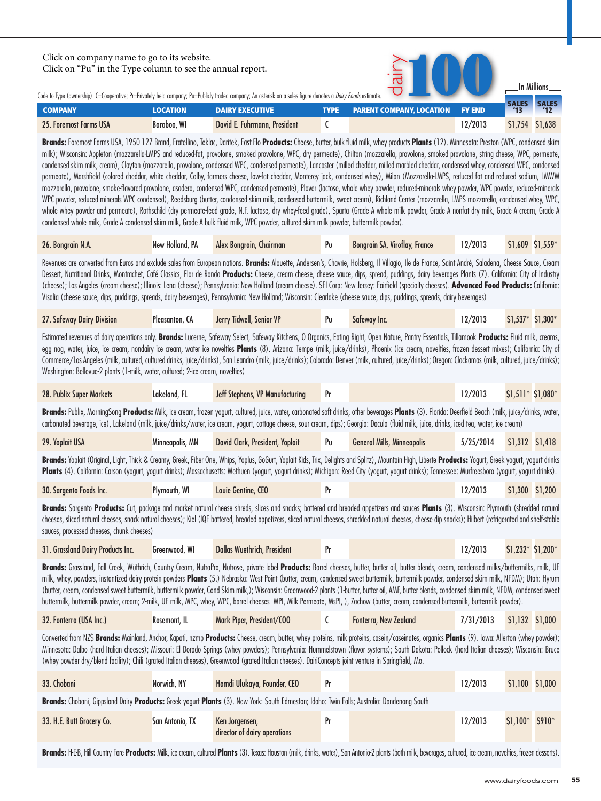| Click on company name to go to its website.<br>Click on "Pu" in the Type column to see the annual report.                                                                                    |                    | Code to Type (ownership): C=Cooperative; Pr=Privately held company; Pu=Publicly traded company; An asterisk on a sales figure denotes a <i>Dairy Foods</i> estimate.                        |             |                                                                                                                                                                                                                                                                                                                                                                                                                                                                                                                                                                                                                                                                                                                                                                                                                                                                                                                                                                                                 |               |                    |         |
|----------------------------------------------------------------------------------------------------------------------------------------------------------------------------------------------|--------------------|---------------------------------------------------------------------------------------------------------------------------------------------------------------------------------------------|-------------|-------------------------------------------------------------------------------------------------------------------------------------------------------------------------------------------------------------------------------------------------------------------------------------------------------------------------------------------------------------------------------------------------------------------------------------------------------------------------------------------------------------------------------------------------------------------------------------------------------------------------------------------------------------------------------------------------------------------------------------------------------------------------------------------------------------------------------------------------------------------------------------------------------------------------------------------------------------------------------------------------|---------------|--------------------|---------|
| <b>COMPANY</b>                                                                                                                                                                               | <b>LOCATION</b>    | <b>DAIRY EXECUTIVE</b>                                                                                                                                                                      | <b>TYPE</b> | <b>PARENT COMPANY, LOCATION</b>                                                                                                                                                                                                                                                                                                                                                                                                                                                                                                                                                                                                                                                                                                                                                                                                                                                                                                                                                                 | <b>FY END</b> | <b>SALES</b><br>13 |         |
| 25. Foremost Farms USA                                                                                                                                                                       | <b>Baraboo, WI</b> | David E. Fuhrmann, President                                                                                                                                                                |             |                                                                                                                                                                                                                                                                                                                                                                                                                                                                                                                                                                                                                                                                                                                                                                                                                                                                                                                                                                                                 | 12/2013       | \$1,754            | \$1,638 |
| whole whev powder and permeate). Rothschild (drv permeate-feed arade. N.F. lactose, drv whev-feed arade). Sparta (Grade A whole milk powder. Grade A nonfat drv milk. Grade A cream, Grade A |                    | WPC powder, reduced minerals WPC condensed), Reedsburg (butter, condensed skim milk, condensed buttermilk, sweet cream), Richland Center (mozzarella, LMPS mozzarella, condensed whey, WPC, |             | Brands: Foremost Farms USA, 1950 127 Brand, Fratellino, Teklac, Daritek, Fast Flo Products: Cheese, butter, bulk fluid milk, whey products Plants (12). Minnesota: Preston (WPC, condensed skim<br>milk); Wisconsin: Appleton (mozzarella-LMPS and reduced-fat, provolone, smoked provolone, WPC, dry permeate), Chilton (mozzarella, provolone, smoked provolone, string cheese, WPC, permeate,<br>condensed skim milk, cream), Clayton (mozzarella, provolone, condensed WPC, condensed permeate), Lancaster (milled cheddar, milled marbled cheddar, condensed whey, condensed WPC, condensed<br>permeate), Marshfield (colored cheddar, white cheddar, Colby, farmers cheese, low-fat cheddar, Monterey jack, condensed whey), Milan (Mozzarella-LMPS, reduced fat and reduced sodium, LMWM<br>mozzarella, provolone, smoke-flavored provolone, asadero, condensed WPC, condensed permeate), Plover (lactose, whole whey powder, reduced-minerals whey powder, WPC powder, reduced-minerals |               |                    |         |

condensed whole milk, Grade A condensed skim milk, Grade A bulk fluid milk, WPC powder, cultured skim milk powder, buttermilk powder). 26. Bongrain N.A. New Holland, PA Alex Bongrain, Chairman Pu Bongrain SA, Viroflay, France 12/2013 \$1,609 \$1,559\*

Revenues are converted from Euros and exclude sales from European nations. Brands: Alouette, Andersen's, Chavrie, Holsberg, Il Villagio, Ile de France, Saint André, Saladena, Cheese Sauce, Cream Dessert, Nutritional Drinks, Montrachet, Café Classics, Flor de Ronda **Products:** Cheese, cream cheese, ch[eese sauce,](http://investor.safeway.com/phoenix.zhtml?c=64607&p=irol-reportsannual) dips, spread, puddings, dairy beverages Plants (7). California: City of Industry [\(cheese\); Los Angeles \(cream cheese\); Illi](http://www.safeway.com/IFL/Grocery/Home)nois: Lena (cheese); Pennsylvania: New Holland (cream cheese). SFI Corp: New Jersey: Fairfield (specialty cheeses). **Advanced Food Products:** California: Visalia (cheese sauce, dips, puddings, spreads, dairy beverages), Pennsylvania: New Holland; Wisconsin: Clearlake (cheese sauce, dips, puddings, spreads, dairy beverages)

| 27. Safeway Dairy Division | Pleasanton, CA | Jerry Tidwell, Senior VP | Pu | Sateway Inc. | 12/2013 | $$1.537$ * | $$1.300*$ |
|----------------------------|----------------|--------------------------|----|--------------|---------|------------|-----------|
|                            |                |                          |    |              |         |            |           |

Estimated revenues of dairy operations only. **Brands:** Lucerne, Safeway Select, Safeway Kitchens, O Organics, Eating Right, Open Nature, Pantry Essentials, Tillamook **Products:** Fluid milk, creams, [egg nog, water, juice, ice cream, nonda](http://www.publix.com)iry ice cream, water ice novelties **Plants** (8). Arizona: Tempe (milk, juice/drinks), Phoenix (ice cream, novelties, frozen dessert mixes); California: City of Commerce/Los Angeles (milk, cultured, cultured drinks, juice/drinks), San Leandro (milk, juice/drinks); Colorado: Denver (milk, cultured, juice/drinks); Oregon: Clackamas (milk, cultured, juice/drinks); Washington: Bellevue-2 plants (1-milk, water, cultured; 2-ice cream, novelties)

| 28. Publix Super Markets | Lakeland. FL | <b>Jeff Stephens, VP Manufacturing</b> |  | 12/2013 | \$1,511* \$1,080* |
|--------------------------|--------------|----------------------------------------|--|---------|-------------------|
|                          |              |                                        |  |         |                   |

**Brands:** Publix, MorningSong **Products:** Milk, ice cream, frozen yogurt, cultured, juice, water, carbonated soft drinks, other beverages **Plants** (3). Florida: Deerfield Beach (milk, juice/drinks, water, carbonated beverage, ice), Lakeland (milk, juice/drinks/water, ice cream, yogurt, cottage cheese, sour cream, dips); Georgia: Dacula (fluid milk, juice, drinks, iced tea, water, ice cream)

| 29. Yoplait USA | Minneapolis, MN | David Clark, President, Yoplait | Pu | <b>General Mills, Minneapolis</b> | $5/25/2014$ $51,312$ $51,418$ |  |  |
|-----------------|-----------------|---------------------------------|----|-----------------------------------|-------------------------------|--|--|
|-----------------|-----------------|---------------------------------|----|-----------------------------------|-------------------------------|--|--|

**Brands:** Yoplait (Original, Light, Thick & Creamy, Greek, Fiber One, Whips, Yoplus, GoGurt, Yoplait Kids, Trix, Delights and Splitz), Mountain High, Liberte **Products:** Yogurt, Greek yogurt, yogurt drinks Plants (4). California: Carson (yogurt, yogurt drinks); Massachusetts: Methuen (yogurt, yogurt drinks); *N*ichigan: Reed City (yogurt, yogurt drinks); Tennessee: Murfreesboro (yogurt, yogurt drinks).

|  | 30. Sargento Foods Inc. | Plymouth, WI | Gentine. CEO<br>Louie |  |  | 12/201 | .300 <sub>1</sub> | 51.200 |
|--|-------------------------|--------------|-----------------------|--|--|--------|-------------------|--------|
|--|-------------------------|--------------|-----------------------|--|--|--------|-------------------|--------|

**Brands:** Sargento **Products:** Cut, package and market natural cheese shreds, slices and snacks; battered and breaded appetizers and sauces **Plants** (3). Wisconsin: Plymouth (shredded natural [cheeses, sliced natural cheeses, snack na](http://www.grassland.com)tural cheeses); Kiel (IQF battered, breaded appetizers, sliced natural cheeses, shredded natural cheeses, cheese dip snacks); Hilbert (refrigerated and shelf-stable sauces, processed cheeses, chunk cheeses)

| 31. Grassland Dairy Products Inc. 6reenwood. WI Dallas Wuethrich. President |  |  |  |  | $12/2013$ $51,232*$ $51,200*$ |  |  |
|-----------------------------------------------------------------------------|--|--|--|--|-------------------------------|--|--|
|-----------------------------------------------------------------------------|--|--|--|--|-------------------------------|--|--|

Brands: Grassland, Fall Creek, Wüthrich, Country Cream, NutraPro, Nutrose, private label Products: Barrel cheeses, butter, butter oil, butter blends, cream, condensed milks/buttermilks, milk, UF [milk, whey, powders, instantized dair](http://www.fonterra.com)y protein powders **Plants** (5.) Nebraska: West Point (butter, cream, condensed sweet buttermilk, buttermilk powder, condensed skim milk, NFDM); Utah: Hyrum (butter, cream, condensed sweet buttermilk, buttermilk powder, Cond Skim milk,); Wisconsin: Greenwood-2 plants (1-butter, butter oil, AMF, butter blends, condensed skim milk, NFDM, condensed sweet buttermilk, buttermilk powder, cream; 2-milk, UF milk, MPC, whey, WPC, barrel cheeses MPI, Milk Permeate, MsPI, ), Zachow (butter, cream, condensed buttermilk, buttermilk powder).

| 32. Fonterra (USA Inc.) | Rosemont, IL | Mark Piper, President/COO |  | <b>Fonterra, New Zealand</b> | $7/31/2013$ \$1,132 \$1,000 |  |  |
|-------------------------|--------------|---------------------------|--|------------------------------|-----------------------------|--|--|
|-------------------------|--------------|---------------------------|--|------------------------------|-----------------------------|--|--|

Converted from NZ\$ Brands: Mainland, Anchor, Kapati, nzmp Products: Cheese, cream, butter, whey proteins, milk proteins, casein/caseinates, organics Plants (9). Iowa: Allerton (whey powder); [Minnesota: Dalbo \(hard Italian cheeses\);](http://www.chobani.com) Missouri: El Dorado Springs (whey powders); Pennsylvania: Hummelstown (flavor systems); South Dakota: Pollock (hard Italian cheeses); Wisconsin: Bruce (whey powder dry/blend facility); Chili (grated Italian cheeses), Greenwood (grated Italian cheeses). DairiConcepts joint venture in Springfield, Mo.

| 33. Chobani                                                                                                                                 | Norwich, NY            | Hamdi Ulukaya, Founder, CEO                    | Pr |  | 12/2013 | \$1,100 \$1,000  |  |  |
|---------------------------------------------------------------------------------------------------------------------------------------------|------------------------|------------------------------------------------|----|--|---------|------------------|--|--|
| Brands: Chobani, Gippsland Dairy Products: Greek yogurt Plants (3). New York: South Edmeston; Idaho: Twin Falls; Australia: Dandenong South |                        |                                                |    |  |         |                  |  |  |
| 33. H.E. Butt Grocery Co.                                                                                                                   | <b>San Antonio, TX</b> | Ken Jorgensen,<br>director of dairy operations |    |  | 12/2013 | $$1,100*$ \$910* |  |  |

Brands: H-E-B, Hill Country Fare Products: Milk, ice cream, cultured Plants (3). Texas: Houston (milk, drinks, water), San Antonio-2 plants (both milk, beverages, cultured, ice cream, novelties, frozen desserts).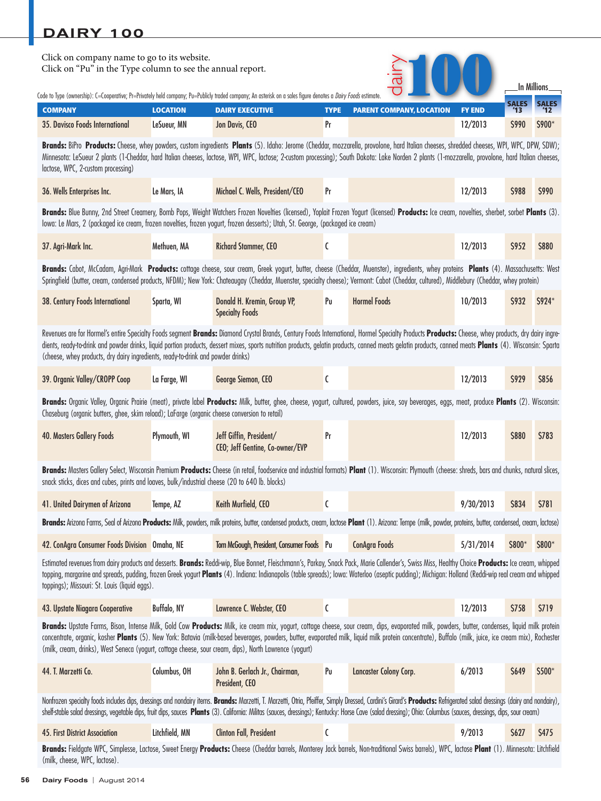| Click on company name to go to its website.<br>Click on "Pu" in the Type column to see the annual report.<br>In Millions                                                                                                                                                                                                                                                                                                                                                                          |                                                                                                                                                                                                                                                                                                                                                                                                                                                                                                                   |                                                                                                                                                                                                                                                                                                                                                                                                             |             |                                 |               |              |              |  |  |
|---------------------------------------------------------------------------------------------------------------------------------------------------------------------------------------------------------------------------------------------------------------------------------------------------------------------------------------------------------------------------------------------------------------------------------------------------------------------------------------------------|-------------------------------------------------------------------------------------------------------------------------------------------------------------------------------------------------------------------------------------------------------------------------------------------------------------------------------------------------------------------------------------------------------------------------------------------------------------------------------------------------------------------|-------------------------------------------------------------------------------------------------------------------------------------------------------------------------------------------------------------------------------------------------------------------------------------------------------------------------------------------------------------------------------------------------------------|-------------|---------------------------------|---------------|--------------|--------------|--|--|
| Code to Type (ownership): C=Cooperative; Pr=Privately held company; Pu=Publicly traded company; An asterisk on a sales figure denotes a <i>Dairy Foods</i> estimate.                                                                                                                                                                                                                                                                                                                              |                                                                                                                                                                                                                                                                                                                                                                                                                                                                                                                   |                                                                                                                                                                                                                                                                                                                                                                                                             |             |                                 |               | <b>SALES</b> | <b>SALES</b> |  |  |
| <b>COMPANY</b>                                                                                                                                                                                                                                                                                                                                                                                                                                                                                    | <b>LOCATION</b>                                                                                                                                                                                                                                                                                                                                                                                                                                                                                                   | <b>DAIRY EXECUTIVE</b>                                                                                                                                                                                                                                                                                                                                                                                      | <b>TYPE</b> | <b>PARENT COMPANY, LOCATION</b> | <b>FY END</b> | 13           |              |  |  |
| 35. Davisco Foods International                                                                                                                                                                                                                                                                                                                                                                                                                                                                   | LeSueur, MN                                                                                                                                                                                                                                                                                                                                                                                                                                                                                                       | Jon Davis, CEO                                                                                                                                                                                                                                                                                                                                                                                              | Pr          |                                 | 12/2013       | \$990        | \$900*       |  |  |
| Brands: BiPro Products: Cheese, whey powders, custom ingredients Plants (5). Idaho: Jerome (Cheddar, mozzarella, provolone, hard Italian cheeses, shredded cheeses, WPI, WPC, DPW, SDW);<br>Minnesota: LeSueur 2 plants (1-Cheddar, hard Italian cheeses, lactose, WPI, WPC, lactose; 2-custom processing); South Dakota: Lake Norden 2 plants (1-mozzarella, provolone, hard Italian cheeses,<br>lactose, WPC, 2-custom processing)                                                              |                                                                                                                                                                                                                                                                                                                                                                                                                                                                                                                   |                                                                                                                                                                                                                                                                                                                                                                                                             |             |                                 |               |              |              |  |  |
| 36. Wells Enterprises Inc.                                                                                                                                                                                                                                                                                                                                                                                                                                                                        | Le Mars, IA                                                                                                                                                                                                                                                                                                                                                                                                                                                                                                       | Michael C. Wells, President/CEO                                                                                                                                                                                                                                                                                                                                                                             | Pr          |                                 | 12/2013       | \$988        | \$990        |  |  |
| Brands: Blue Bunny, 2nd Street Creamery, Bomb Pops, Weight Watchers Frozen Novelties (licensed), Yoplait Frozen Yogurt (licensed) Products: Ice cream, novelties, sherbet, sorbet Plants (3).<br>lowa: Le Mars, 2 (packaged ice cream, frozen novelties, frozen yogurt, frozen desserts); Utah, St. George, (packaged ice cream)                                                                                                                                                                  |                                                                                                                                                                                                                                                                                                                                                                                                                                                                                                                   |                                                                                                                                                                                                                                                                                                                                                                                                             |             |                                 |               |              |              |  |  |
| 37. Agri-Mark Inc.                                                                                                                                                                                                                                                                                                                                                                                                                                                                                | Methuen, MA                                                                                                                                                                                                                                                                                                                                                                                                                                                                                                       | <b>Richard Stammer, CEO</b>                                                                                                                                                                                                                                                                                                                                                                                 | C           |                                 | 12/2013       | \$952        | <b>\$880</b> |  |  |
| Brands: Cabot, McCadam, Agri-Mark Products: cottage cheese, sour cream, Greek yogurt, butter, cheese (Cheddar, Muenster), ingredients, whey proteins Plants (4). Massachusetts: West<br>Springfield (butter, cream, condensed products, NFDM); New York: Chateaugay (Cheddar, Muenster, specialty cheese); Vermont: Cabot (Cheddar, cultured), Middlebury (Cheddar, whey protein)                                                                                                                 |                                                                                                                                                                                                                                                                                                                                                                                                                                                                                                                   |                                                                                                                                                                                                                                                                                                                                                                                                             |             |                                 |               |              |              |  |  |
| 38. Century Foods International                                                                                                                                                                                                                                                                                                                                                                                                                                                                   | Sparta, WI                                                                                                                                                                                                                                                                                                                                                                                                                                                                                                        | Donald H. Kremin, Group VP,<br><b>Specialty Foods</b>                                                                                                                                                                                                                                                                                                                                                       | Pu          | <b>Hormel Foods</b>             | 10/2013       | <b>S932</b>  | \$924*       |  |  |
| Revenues are for Hormel's entire Specialty Foods segment Brands: Diamond Crystal Brands, Century Foods International, Hormel Specialty Products Products: Cheese, whey products, dry dairy ingre-<br>dients, ready-to-drink and powder drinks, liquid portion products, dessert mixes, sports nutrition products, gelatin products, canned meats gelatin products, canned meats Plants (4). Wisconsin: Sparta<br>(cheese, whey products, dry dairy ingredients, ready-to-drink and powder drinks) |                                                                                                                                                                                                                                                                                                                                                                                                                                                                                                                   |                                                                                                                                                                                                                                                                                                                                                                                                             |             |                                 |               |              |              |  |  |
| 39. Organic Valley/CROPP Coop                                                                                                                                                                                                                                                                                                                                                                                                                                                                     | La Farge, WI                                                                                                                                                                                                                                                                                                                                                                                                                                                                                                      | George Siemon, CEO                                                                                                                                                                                                                                                                                                                                                                                          | C           |                                 | 12/2013       | <b>S929</b>  | <b>S856</b>  |  |  |
| Brands: Organic Valley, Organic Prairie (meat), private label Products: Milk, butter, ghee, cheese, yogurt, cultured, powders, juice, soy beverages, eggs, meat, produce Plants (2). Wisconsin:<br>Chaseburg (organic butters, ghee, skim reload); LaFarge (organic cheese conversion to retail)                                                                                                                                                                                                  |                                                                                                                                                                                                                                                                                                                                                                                                                                                                                                                   |                                                                                                                                                                                                                                                                                                                                                                                                             |             |                                 |               |              |              |  |  |
| <b>40. Masters Gallery Foods</b>                                                                                                                                                                                                                                                                                                                                                                                                                                                                  | Plymouth, WI                                                                                                                                                                                                                                                                                                                                                                                                                                                                                                      | Jeff Giffin, President/<br>CEO; Jeff Gentine, Co-owner/EVP                                                                                                                                                                                                                                                                                                                                                  | Pr          |                                 | 12/2013       | \$880        | \$783        |  |  |
| snack sticks, dices and cubes, prints and loaves, bulk/industrial cheese (20 to 640 lb. blocks)                                                                                                                                                                                                                                                                                                                                                                                                   |                                                                                                                                                                                                                                                                                                                                                                                                                                                                                                                   | Brands: Masters Gallery Select, Wisconsin Premium Products: Cheese (in retail, foodservice and industrial formats) Plant (1). Wisconsin: Plymouth (cheese: shreds, bars and chunks, natural slices,                                                                                                                                                                                                         |             |                                 |               |              |              |  |  |
| 41. United Dairymen of Arizona                                                                                                                                                                                                                                                                                                                                                                                                                                                                    | Tempe, AZ                                                                                                                                                                                                                                                                                                                                                                                                                                                                                                         | Keith Murfield, CEO                                                                                                                                                                                                                                                                                                                                                                                         | C           |                                 | 9/30/2013     | \$834        | \$781        |  |  |
|                                                                                                                                                                                                                                                                                                                                                                                                                                                                                                   |                                                                                                                                                                                                                                                                                                                                                                                                                                                                                                                   | Brands: Arizona Farms, Seal of Arizona Products: Milk, powders, milk proteins, butter, condensed products, cream, lactose Plant (1). Arizona: Tempe (milk, powder, proteins, butter, condensed, cream, lactose)                                                                                                                                                                                             |             |                                 |               |              |              |  |  |
| 42. ConAgra Consumer Foods Division Omaha, NE                                                                                                                                                                                                                                                                                                                                                                                                                                                     |                                                                                                                                                                                                                                                                                                                                                                                                                                                                                                                   | Tom McGough, President, Consumer Foods Pu                                                                                                                                                                                                                                                                                                                                                                   |             | <b>ConAgra Foods</b>            | 5/31/2014     | S800*        | \$800*       |  |  |
| toppings); Missouri: St. Louis (liquid eggs).                                                                                                                                                                                                                                                                                                                                                                                                                                                     |                                                                                                                                                                                                                                                                                                                                                                                                                                                                                                                   | Estimated revenues from dairy products and desserts. Brands: Reddi-wip, Blue Bonnet, Fleischmann's, Parkay, Snack Pack, Marie Callender's, Swiss Miss, Healthy Choice Products: Ice cream, whipped<br>topping, margarine and spreads, pudding, frozen Greek yogurt Plants (4). Indiana: Indianapolis (table spreads); Iowa: Waterloo (aseptic pudding); Michigan: Holland (Reddi-wip real cream and whipped |             |                                 |               |              |              |  |  |
| 43. Upstate Niagara Cooperative                                                                                                                                                                                                                                                                                                                                                                                                                                                                   | Buffalo, NY                                                                                                                                                                                                                                                                                                                                                                                                                                                                                                       | Lawrence C. Webster, CEO                                                                                                                                                                                                                                                                                                                                                                                    | C           |                                 | 12/2013       | \$758        | \$719        |  |  |
|                                                                                                                                                                                                                                                                                                                                                                                                                                                                                                   | Brands: Upstate Farms, Bison, Intense Milk, Gold Cow Products: Milk, ice cream mix, yogurt, cottage cheese, sour cream, dips, evaporated milk, powders, butter, condenses, liquid milk protein<br>concentrate, organic, kosher Plants (5). New York: Batavia (milk-based beverages, powders, butter, evaporated milk, liquid milk protein concentrate), Buffalo (milk, juice, ice cream mix), Rochester<br>(milk, cream, drinks), West Seneca (yogurt, cottage cheese, sour cream, dips), North Lawrence (yogurt) |                                                                                                                                                                                                                                                                                                                                                                                                             |             |                                 |               |              |              |  |  |
| 44. T. Marzetti Co.                                                                                                                                                                                                                                                                                                                                                                                                                                                                               | Columbus, OH                                                                                                                                                                                                                                                                                                                                                                                                                                                                                                      | John B. Gerlach Jr., Chairman,<br>President, CEO                                                                                                                                                                                                                                                                                                                                                            | Pu          | Lancaster Colony Corp.          | 6/2013        | \$649        | \$500*       |  |  |
| shelf-stable salad dressings, vegetable dips, fruit dips, sauces Plants (3). California: Militas (sauces, dressings); Kentucky: Horse Cave (salad dressing); Ohio: Columbus (sauces, dressings, dips, sour cream)                                                                                                                                                                                                                                                                                 |                                                                                                                                                                                                                                                                                                                                                                                                                                                                                                                   | Nonfrozen specialty foods includes dips, dressings and nondairy items. Brands: Marzetti, T. Marzetti, Otria, Pfeiffer, Simply Dressed, Cardini's Girard's Products: Refrigerated salad dressings (dairy and nondairy),                                                                                                                                                                                      |             |                                 |               |              |              |  |  |
| <b>45. First District Association</b>                                                                                                                                                                                                                                                                                                                                                                                                                                                             | Litchfield, MN                                                                                                                                                                                                                                                                                                                                                                                                                                                                                                    | <b>Clinton Fall, President</b>                                                                                                                                                                                                                                                                                                                                                                              | C           |                                 | 9/2013        | S627         | \$475        |  |  |
| (milk, cheese, WPC, lactose).                                                                                                                                                                                                                                                                                                                                                                                                                                                                     |                                                                                                                                                                                                                                                                                                                                                                                                                                                                                                                   | Brands: Fieldgate WPC, Simplesse, Lactose, Sweet Energy Products: Cheese (Cheddar barrels, Monterey Jack barrels, Non-traditional Swiss barrels), WPC, lactose Plant (1). Minnesota: Litchfield                                                                                                                                                                                                             |             |                                 |               |              |              |  |  |

<u> 1989 - Johann Barbara, martxa a</u>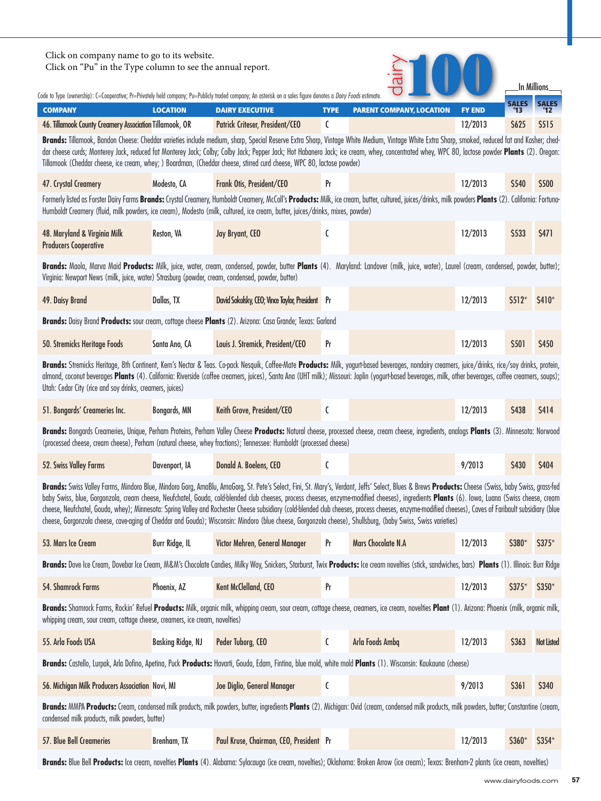| Click on company name to go to its website.<br>Click on "Pu" in the Type column to see the annual report.<br>In Millions<br>Code to Type (ownership): C=Cooperative; Pr=Privately held company; Pu=Publicly traded company; An asterisk on a sales figure denotes a <i>Dairy Foods</i> estimate.                                        |                                                                                                                                                                                                                                                                                                                                                                                                                                                                                                                          |                                                                                                                                                                                                                                                                                                                                                                                                                                                                                                                                                                                                                                                                                                                                                                             |             |                                 |               |                     |                   |  |  |
|-----------------------------------------------------------------------------------------------------------------------------------------------------------------------------------------------------------------------------------------------------------------------------------------------------------------------------------------|--------------------------------------------------------------------------------------------------------------------------------------------------------------------------------------------------------------------------------------------------------------------------------------------------------------------------------------------------------------------------------------------------------------------------------------------------------------------------------------------------------------------------|-----------------------------------------------------------------------------------------------------------------------------------------------------------------------------------------------------------------------------------------------------------------------------------------------------------------------------------------------------------------------------------------------------------------------------------------------------------------------------------------------------------------------------------------------------------------------------------------------------------------------------------------------------------------------------------------------------------------------------------------------------------------------------|-------------|---------------------------------|---------------|---------------------|-------------------|--|--|
| <b>COMPANY</b>                                                                                                                                                                                                                                                                                                                          | <b>LOCATION</b>                                                                                                                                                                                                                                                                                                                                                                                                                                                                                                          | <b>DAIRY EXECUTIVE</b>                                                                                                                                                                                                                                                                                                                                                                                                                                                                                                                                                                                                                                                                                                                                                      | <b>TYPE</b> | <b>PARENT COMPANY, LOCATION</b> | <b>FY END</b> | <b>SALES</b><br>'13 | <b>SALES</b>      |  |  |
| 46. Tillamook County Creamery Association Tillamook, OR                                                                                                                                                                                                                                                                                 |                                                                                                                                                                                                                                                                                                                                                                                                                                                                                                                          | Patrick Criteser, President/CEO                                                                                                                                                                                                                                                                                                                                                                                                                                                                                                                                                                                                                                                                                                                                             | C           |                                 | 12/2013       | \$625               | \$515             |  |  |
|                                                                                                                                                                                                                                                                                                                                         | Brands: Tillamook, Bandon Cheese: Cheddar varieties include medium, sharp, Special Reserve Extra Sharp, Vintage White Medium, Vintage White Extra Sharp, smoked, reduced fat and Kosher; ched-<br>dar cheese curds; Monterey Jack, reduced fat Monterey Jack; Colby; Colby Jack; Pepper Jack; Hot Habanero Jack; ice cream, whey, concentrated whey, WPC 80, lactose powder Plants (2). Oregon:<br>Tillamook (Cheddar cheese, ice cream, whey; ) Boardman, (Cheddar cheese, stirred curd cheese, WPC 80, lactose powder) |                                                                                                                                                                                                                                                                                                                                                                                                                                                                                                                                                                                                                                                                                                                                                                             |             |                                 |               |                     |                   |  |  |
| 47. Crystal Creamery                                                                                                                                                                                                                                                                                                                    | Modesto, CA                                                                                                                                                                                                                                                                                                                                                                                                                                                                                                              | Frank Otis, President/CEO                                                                                                                                                                                                                                                                                                                                                                                                                                                                                                                                                                                                                                                                                                                                                   | Pr          |                                 | 12/2013       | \$540               | \$500             |  |  |
| Formerly listed as Forster Dairy Farms Brands: Crystal Creamery, Humboldt Creamery, McColl's Products: Milk, ice cream, butter, cultured, juices/drinks, milk powders Plants (2). California: Fortuna-<br>Humboldt Creamery (fluid, milk powders, ice cream), Modesto (milk, cultured, ice cream, butter, juices/drinks, mixes, powder) |                                                                                                                                                                                                                                                                                                                                                                                                                                                                                                                          |                                                                                                                                                                                                                                                                                                                                                                                                                                                                                                                                                                                                                                                                                                                                                                             |             |                                 |               |                     |                   |  |  |
| 48. Maryland & Virginia Milk<br><b>Producers Cooperative</b>                                                                                                                                                                                                                                                                            | Reston, VA                                                                                                                                                                                                                                                                                                                                                                                                                                                                                                               | Jay Bryant, CEO                                                                                                                                                                                                                                                                                                                                                                                                                                                                                                                                                                                                                                                                                                                                                             | C           |                                 | 12/2013       | \$533               | \$471             |  |  |
| Brands: Maola, Marva Maid Products: Milk, juice, water, cream, condensed, powder, butter Plants (4). Maryland: Landover (milk, juice, water), Laurel (cream, condensed, powder, butter);<br>Virginia: Newport News (milk, juice, water) Strasburg (powder, cream, condensed, powder, butter)                                            |                                                                                                                                                                                                                                                                                                                                                                                                                                                                                                                          |                                                                                                                                                                                                                                                                                                                                                                                                                                                                                                                                                                                                                                                                                                                                                                             |             |                                 |               |                     |                   |  |  |
| 49. Daisy Brand                                                                                                                                                                                                                                                                                                                         | Dallas, TX                                                                                                                                                                                                                                                                                                                                                                                                                                                                                                               | David Sokolsky, CEO; Vince Taylor, President Pr                                                                                                                                                                                                                                                                                                                                                                                                                                                                                                                                                                                                                                                                                                                             |             |                                 | 12/2013       | $$512*$             | \$410*            |  |  |
|                                                                                                                                                                                                                                                                                                                                         |                                                                                                                                                                                                                                                                                                                                                                                                                                                                                                                          | Brands: Daisy Brand Products: sour cream, cottage cheese Plants (2). Arizona: Casa Grande; Texas: Garland                                                                                                                                                                                                                                                                                                                                                                                                                                                                                                                                                                                                                                                                   |             |                                 |               |                     |                   |  |  |
| 50. Stremicks Heritage Foods                                                                                                                                                                                                                                                                                                            | Santa Ana, CA                                                                                                                                                                                                                                                                                                                                                                                                                                                                                                            | Louis J. Stremick, President/CEO                                                                                                                                                                                                                                                                                                                                                                                                                                                                                                                                                                                                                                                                                                                                            | Pr          |                                 | 12/2013       | \$501               | \$450             |  |  |
| Utah: Cedar City (rice and soy drinks, creamers, juices)                                                                                                                                                                                                                                                                                |                                                                                                                                                                                                                                                                                                                                                                                                                                                                                                                          | Brands: Stremicks Heritage, 8th Continent, Kern's Nectar & Teas. Co-pack Nesquik, Coffee-Mate Products: Milk, yogurt-based beverages, nondairy creamers, juice/drinks, rice/soy drinks, protein,<br>almond, coconut beverages Plants (4). California: Riverside (coffee creamers, juices), Santa Ana (UHT milk); Missouri: Joplin (yogurt-based beverages, milk, other beverages, coffee creamers, soups);                                                                                                                                                                                                                                                                                                                                                                  |             |                                 |               |                     |                   |  |  |
| 51. Bongards' Creameries Inc.                                                                                                                                                                                                                                                                                                           | Bongards, MN                                                                                                                                                                                                                                                                                                                                                                                                                                                                                                             | Keith Grove, President/CEO                                                                                                                                                                                                                                                                                                                                                                                                                                                                                                                                                                                                                                                                                                                                                  | C           |                                 | 12/2013       | \$438               | \$414             |  |  |
|                                                                                                                                                                                                                                                                                                                                         |                                                                                                                                                                                                                                                                                                                                                                                                                                                                                                                          | Brands: Bongards Creameries, Unique, Perham Proteins, Perham Valley Cheese Products: Natural cheese, processed cheese, cream cheese, ingredients, analogs Plants (3). Minnesota: Norwood<br>(processed cheese, cream cheese), Perham (natural cheese, whey fractions); Tennessee: Humboldt (processed cheese)                                                                                                                                                                                                                                                                                                                                                                                                                                                               |             |                                 |               |                     |                   |  |  |
| 52. Swiss Valley Farms                                                                                                                                                                                                                                                                                                                  | Davenport, IA                                                                                                                                                                                                                                                                                                                                                                                                                                                                                                            | Donald A. Boelens, CEO                                                                                                                                                                                                                                                                                                                                                                                                                                                                                                                                                                                                                                                                                                                                                      | C           |                                 | 9/2013        | \$430               | \$404             |  |  |
|                                                                                                                                                                                                                                                                                                                                         |                                                                                                                                                                                                                                                                                                                                                                                                                                                                                                                          | Brands: Swiss Valley Farms, Mindoro Blue, Mindoro Gorg, AmaBlu, AmaGorg, St. Pete's Select, Fini, St. Mary's, Verdant, Jeffs' Select, Blues & Brews Products: Cheese (Swiss, baby Swiss, grass-fed<br>baby Swiss, blue, Gorgonzola, cream cheese, Neufchatel, Gouda, cold-blended club cheeses, process cheeses, enzyme-modified cheeses), ingredients Plants (6). Iowa, Luana (Swiss cheese, cream<br>cheese, Neufchatel, Gouda, whey); Minnesota: Spring Valley and Rochester Cheese subsidiary (cold-blended club cheeses, process cheeses, enzyme-modified cheeses), Caves of Faribault subsidiary (blue<br>cheese, Gorgonzola cheese, cave-aging of Cheddar and Gouda); Wisconsin: Mindoro (blue cheese, Gorgonzola cheese), Shullsburg, (baby Swiss, Swiss varieties) |             |                                 |               |                     |                   |  |  |
| 53. Mars Ice Cream                                                                                                                                                                                                                                                                                                                      | <b>Burr Ridge, IL</b>                                                                                                                                                                                                                                                                                                                                                                                                                                                                                                    | Victor Mehren, General Manager                                                                                                                                                                                                                                                                                                                                                                                                                                                                                                                                                                                                                                                                                                                                              | Pr          | <b>Mars Chocolate N.A</b>       | 12/2013       | \$380*              | $$375*$           |  |  |
|                                                                                                                                                                                                                                                                                                                                         |                                                                                                                                                                                                                                                                                                                                                                                                                                                                                                                          | Brands: Dove Ice Cream, Dovebar Ice Cream, M&M's Chocolate Candies, Milky Way, Snickers, Starburst, Twix Products: Ice cream novelties (stick, sandwiches, bars) Plants (1). Illinois: Burr Ridge                                                                                                                                                                                                                                                                                                                                                                                                                                                                                                                                                                           |             |                                 |               |                     |                   |  |  |
| 54. Shamrock Farms                                                                                                                                                                                                                                                                                                                      | Phoenix, AZ                                                                                                                                                                                                                                                                                                                                                                                                                                                                                                              | Kent McClelland, CEO                                                                                                                                                                                                                                                                                                                                                                                                                                                                                                                                                                                                                                                                                                                                                        | Pr          |                                 | 12/2013       | $$375*$             | \$350*            |  |  |
| whipping cream, sour cream, cottage cheese, creamers, ice cream, novelties)                                                                                                                                                                                                                                                             |                                                                                                                                                                                                                                                                                                                                                                                                                                                                                                                          | Brands: Shamrock Farms, Rockin' Refuel Products: Milk, organic milk, whipping cream, sour cream, cottage cheese, creamers, ice cream, novelties Plant (1). Arizona: Phoenix (milk, organic milk,                                                                                                                                                                                                                                                                                                                                                                                                                                                                                                                                                                            |             |                                 |               |                     |                   |  |  |
| 55. Arla Foods USA                                                                                                                                                                                                                                                                                                                      | <b>Basking Ridge, NJ</b>                                                                                                                                                                                                                                                                                                                                                                                                                                                                                                 | Peder Tuborg, CEO                                                                                                                                                                                                                                                                                                                                                                                                                                                                                                                                                                                                                                                                                                                                                           | C           | Arla Foods Ambq                 | 12/2013       | \$363               | <b>Not Listed</b> |  |  |
|                                                                                                                                                                                                                                                                                                                                         |                                                                                                                                                                                                                                                                                                                                                                                                                                                                                                                          | Brands: Castello, Lurpak, Arla Dofino, Apetina, Puck Products: Havarti, Gouda, Edam, Fintina, blue mold, white mold Plants (1). Wisconsin: Kaukauna (cheese)                                                                                                                                                                                                                                                                                                                                                                                                                                                                                                                                                                                                                |             |                                 |               |                     |                   |  |  |
| 56. Michigan Milk Producers Association Novi, MI                                                                                                                                                                                                                                                                                        |                                                                                                                                                                                                                                                                                                                                                                                                                                                                                                                          | Joe Diglio, General Manager                                                                                                                                                                                                                                                                                                                                                                                                                                                                                                                                                                                                                                                                                                                                                 | C           |                                 | 9/2013        | \$361               | \$340             |  |  |
| condensed milk products, milk powders, butter)                                                                                                                                                                                                                                                                                          |                                                                                                                                                                                                                                                                                                                                                                                                                                                                                                                          | Brands: MMPA Products: Cream, condensed milk products, milk powders, butter, ingredients Plants (2). Michigan: Ovid (cream, condensed milk products, milk powders, butter; Constantine (cream,                                                                                                                                                                                                                                                                                                                                                                                                                                                                                                                                                                              |             |                                 |               |                     |                   |  |  |
| 57. Blue Bell Creameries                                                                                                                                                                                                                                                                                                                | Brenham, TX                                                                                                                                                                                                                                                                                                                                                                                                                                                                                                              | Paul Kruse, Chairman, CEO, President Pr                                                                                                                                                                                                                                                                                                                                                                                                                                                                                                                                                                                                                                                                                                                                     |             |                                 | 12/2013       | \$360*              | \$354*            |  |  |
|                                                                                                                                                                                                                                                                                                                                         |                                                                                                                                                                                                                                                                                                                                                                                                                                                                                                                          |                                                                                                                                                                                                                                                                                                                                                                                                                                                                                                                                                                                                                                                                                                                                                                             |             |                                 |               |                     |                   |  |  |

**Brands:** Blue Bell **Products:** Ice cream, novelties **Plants** (4). Alabama: Sylacauga (ice cream, novelties); Oklahoma: Broken Arrow (ice cream); Texas: Brenham-2 plants (ice cream, novelties)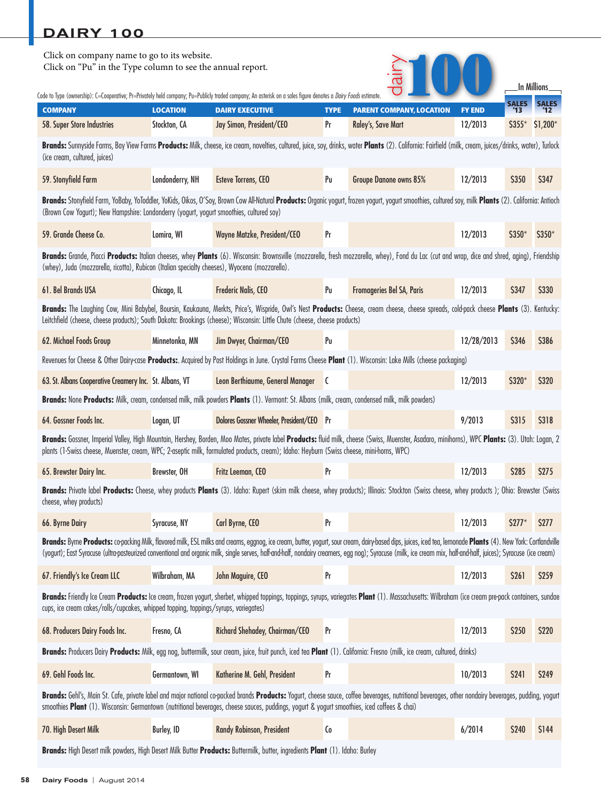| Click on company name to go to its website.<br>Click on "Pu" in the Type column to see the annual report.                                                                                                                                                                                                                                   |                                                                                                                                                              |                                                                                                                                                                                                                                                                                                                                                                                                                                   |                   |                                                       | In Millions              |              |              |  |  |
|---------------------------------------------------------------------------------------------------------------------------------------------------------------------------------------------------------------------------------------------------------------------------------------------------------------------------------------------|--------------------------------------------------------------------------------------------------------------------------------------------------------------|-----------------------------------------------------------------------------------------------------------------------------------------------------------------------------------------------------------------------------------------------------------------------------------------------------------------------------------------------------------------------------------------------------------------------------------|-------------------|-------------------------------------------------------|--------------------------|--------------|--------------|--|--|
| Code to Type (ownership): C=Cooperative; Pr=Privately held company; Pu=Publicly traded company; An asterisk on a sales figure denotes a <i>Dairy Foods</i> estimate.                                                                                                                                                                        |                                                                                                                                                              |                                                                                                                                                                                                                                                                                                                                                                                                                                   |                   |                                                       |                          | <b>SALES</b> |              |  |  |
| <b>COMPANY</b><br>58. Super Store Industries                                                                                                                                                                                                                                                                                                | <b>LOCATION</b><br>Stockton, CA                                                                                                                              | <b>DAIRY EXECUTIVE</b><br>Jay Simon, President/CEO                                                                                                                                                                                                                                                                                                                                                                                | <b>TYPE</b><br>Pr | <b>PARENT COMPANY, LOCATION</b><br>Raley's, Save Mart | <b>FY END</b><br>12/2013 | $$355*$      | $$1,200*$    |  |  |
| Brands: Sunnyside Farms, Bay View Farms Products: Milk, cheese, ice cream, novelties, cultured, juice, soy, drinks, water Plants (2). California: Fairfield (milk, cream, juices/drinks, water), Turlock<br>(ice cream, cultured, juices)                                                                                                   |                                                                                                                                                              |                                                                                                                                                                                                                                                                                                                                                                                                                                   |                   |                                                       |                          |              |              |  |  |
| 59. Stonyfield Farm                                                                                                                                                                                                                                                                                                                         | Londonderry, NH                                                                                                                                              | Esteve Torrens, CEO                                                                                                                                                                                                                                                                                                                                                                                                               | Pu                | Groupe Danone owns 85%                                | 12/2013                  | <b>S350</b>  | <b>S347</b>  |  |  |
| Brands: Stonyfield Farm, YoBaby, YoToddler, YoKids, Oikos, O'Soy, Brown Cow All-Natural Products: Organic yogurt, frozen yogurt, yogurt smoothies, cultured soy, milk Plants (2). California: Antioch<br>(Brown Cow Yogurt); New Hampshire: Londonderry (yogurt, yogurt smoothies, cultured soy)                                            |                                                                                                                                                              |                                                                                                                                                                                                                                                                                                                                                                                                                                   |                   |                                                       |                          |              |              |  |  |
| 59. Grande Cheese Co.                                                                                                                                                                                                                                                                                                                       | Lomira, WI                                                                                                                                                   | Wayne Matzke, President/CEO                                                                                                                                                                                                                                                                                                                                                                                                       | Pr                |                                                       | 12/2013                  | $$350*$      | \$350*       |  |  |
| (whey), Juda (mozzarella, ricotta), Rubicon (Italian specialty cheeses), Wyocena (mozzarella).                                                                                                                                                                                                                                              |                                                                                                                                                              | Brands: Grande, Piacci Products: Italian cheeses, whey Plants (6). Wisconsin: Brownsville (mozzarella, fresh mozzarella, whey), Fond du Lac (cut and wrap, dice and shred, aging), Friendship                                                                                                                                                                                                                                     |                   |                                                       |                          |              |              |  |  |
| 61. Bel Brands USA                                                                                                                                                                                                                                                                                                                          | Chicago, IL                                                                                                                                                  | Frederic Nalis, CEO                                                                                                                                                                                                                                                                                                                                                                                                               | Pu                | Fromageries Bel SA, Paris                             | 12/2013                  | <b>\$347</b> | \$330        |  |  |
| Brands: The Laughing Cow, Mini Babybel, Boursin, Kaukauna, Merkts, Price's, Wispride, Owl's Nest Products: Cheese, cream cheese, cheese spreads, cold-pack cheese Plants (3). Kentucky:<br>Leitchfield (cheese, cheese products); South Dakota: Brookings (cheese); Wisconsin: Little Chute (cheese, cheese products)                       |                                                                                                                                                              |                                                                                                                                                                                                                                                                                                                                                                                                                                   |                   |                                                       |                          |              |              |  |  |
| 62. Michael Foods Group                                                                                                                                                                                                                                                                                                                     | Minnetonka, MN                                                                                                                                               | Jim Dwyer, Chairman/CEO                                                                                                                                                                                                                                                                                                                                                                                                           | Pu                |                                                       | 12/28/2013               | <b>\$346</b> | <b>S386</b>  |  |  |
|                                                                                                                                                                                                                                                                                                                                             | Revenues for Cheese & Other Dairy-case Products: Acquired by Post Holdings in June. Crystal Farms Cheese Plant (1). Wisconsin: Lake Mills (cheese packaging) |                                                                                                                                                                                                                                                                                                                                                                                                                                   |                   |                                                       |                          |              |              |  |  |
| 63. St. Albans Cooperative Creamery Inc. St. Albans, VT                                                                                                                                                                                                                                                                                     |                                                                                                                                                              | Leon Berthiaume, General Manager C                                                                                                                                                                                                                                                                                                                                                                                                |                   |                                                       | 12/2013                  | \$320*       | <b>S320</b>  |  |  |
| Brands: None Products: Milk, cream, condensed milk, milk powders Plants (1). Vermont: St. Albans (milk, cream, condensed milk, milk powders)                                                                                                                                                                                                |                                                                                                                                                              |                                                                                                                                                                                                                                                                                                                                                                                                                                   |                   |                                                       |                          |              |              |  |  |
| 64. Gossner Foods Inc.                                                                                                                                                                                                                                                                                                                      | Logan, UT                                                                                                                                                    | Dolores Gossner Wheeler, President/CEO Pr                                                                                                                                                                                                                                                                                                                                                                                         |                   |                                                       | 9/2013                   | <b>\$315</b> | <b>\$318</b> |  |  |
| Brands: Gossner, Imperial Valley, High Mountain, Hershey, Borden, Moo Mates, private label Products: fluid milk, cheese (Swiss, Muenster, Asadaro, minihorns), WPC Plants: (3). Utah: Logan, 2<br>plants (1-Swiss cheese, Muenster, cream, WPC; 2-aseptic milk, formulated products, cream); Idaho: Heyburn (Swiss cheese, mini-horns, WPC) |                                                                                                                                                              |                                                                                                                                                                                                                                                                                                                                                                                                                                   |                   |                                                       |                          |              |              |  |  |
| 65. Brewster Dairy Inc.                                                                                                                                                                                                                                                                                                                     | Brewster, OH                                                                                                                                                 | Fritz Leeman, CEO                                                                                                                                                                                                                                                                                                                                                                                                                 | Pr                |                                                       | 12/2013                  | <b>S285</b>  | <b>S275</b>  |  |  |
| Brands: Private label Products: Cheese, whey products Plants (3). Idaho: Rupert (skim milk cheese, whey products); Illinois: Stockton (Swiss cheese, whey products); Ohio: Brewster (Swiss<br>cheese, whey products)                                                                                                                        |                                                                                                                                                              |                                                                                                                                                                                                                                                                                                                                                                                                                                   |                   |                                                       |                          |              |              |  |  |
| 66. Byrne Dairy                                                                                                                                                                                                                                                                                                                             | Syracuse, NY                                                                                                                                                 | Carl Byrne, CEO                                                                                                                                                                                                                                                                                                                                                                                                                   | Pr                |                                                       | 12/2013                  | $$277^*$     | \$277        |  |  |
|                                                                                                                                                                                                                                                                                                                                             |                                                                                                                                                              | Brands: Byrne Products: co-packing Milk, flavored milk, ESL milks and creams, eggnog, ice cream, butter, yogurt, sour cream, dairy-based dips, juices, iced tea, lemonade Plants (4). New York: Cortlandville<br>(yogurt); East Syracuse (ultra-pasteurized conventional and organic milk, single serves, half-and-half, nondairy creamers, egg nog); Syracuse (milk, ice cream mix, half-and-half, juices); Syracuse (ice cream) |                   |                                                       |                          |              |              |  |  |
| 67. Friendly's Ice Cream LLC                                                                                                                                                                                                                                                                                                                | Wilbraham, MA                                                                                                                                                | John Maguire, CEO                                                                                                                                                                                                                                                                                                                                                                                                                 | Pr                |                                                       | 12/2013                  | \$261        | \$259        |  |  |
| cups, ice cream cakes/rolls/cupcakes, whipped topping, toppings/syrups, variegates)                                                                                                                                                                                                                                                         |                                                                                                                                                              | Brands: Friendly Ice Cream Products: Ice cream, frozen yogurt, sherbet, whipped toppings, toppings, syrups, variegates Plant (1). Massachusetts: Wilbraham (ice cream pre-pack containers, sundae                                                                                                                                                                                                                                 |                   |                                                       |                          |              |              |  |  |
| 68. Producers Dairy Foods Inc.                                                                                                                                                                                                                                                                                                              | Fresno, CA                                                                                                                                                   | Richard Shehadey, Chairman/CEO                                                                                                                                                                                                                                                                                                                                                                                                    | Pr                |                                                       | 12/2013                  | \$250        | \$220        |  |  |
| Brands: Producers Dairy Products: Milk, egg nog, buttermilk, sour cream, juice, fruit punch, iced tea Plant (1). California: Fresno (milk, ice cream, cultured, drinks)                                                                                                                                                                     |                                                                                                                                                              |                                                                                                                                                                                                                                                                                                                                                                                                                                   |                   |                                                       |                          |              |              |  |  |
| 69. Gehl Foods Inc.                                                                                                                                                                                                                                                                                                                         | Germantown, WI                                                                                                                                               | Katherine M. Gehl, President                                                                                                                                                                                                                                                                                                                                                                                                      | Pr                |                                                       | 10/2013                  | \$241        | \$249        |  |  |
| smoothies Plant (1). Wisconsin: Germantown (nutritional beverages, cheese sauces, puddings, yogurt & yogurt smoothies, iced coffees & chai)                                                                                                                                                                                                 |                                                                                                                                                              | Brands: Gehl's, Main St. Cafe, private label and major national co-packed brands Products: Yogurt, cheese sauce, coffee beverages, nutritional beverages, other nondairy beverages, pudding, yogurt                                                                                                                                                                                                                               |                   |                                                       |                          |              |              |  |  |
| 70. High Desert Milk                                                                                                                                                                                                                                                                                                                        | <b>Burley, ID</b>                                                                                                                                            | Randy Robinson, President                                                                                                                                                                                                                                                                                                                                                                                                         | Co                |                                                       | 6/2014                   | \$240        | \$144        |  |  |
| Brands: High Desert milk powders, High Desert Milk Butter Products: Buttermilk, butter, ingredients Plant (1). Idaho: Burley                                                                                                                                                                                                                |                                                                                                                                                              |                                                                                                                                                                                                                                                                                                                                                                                                                                   |                   |                                                       |                          |              |              |  |  |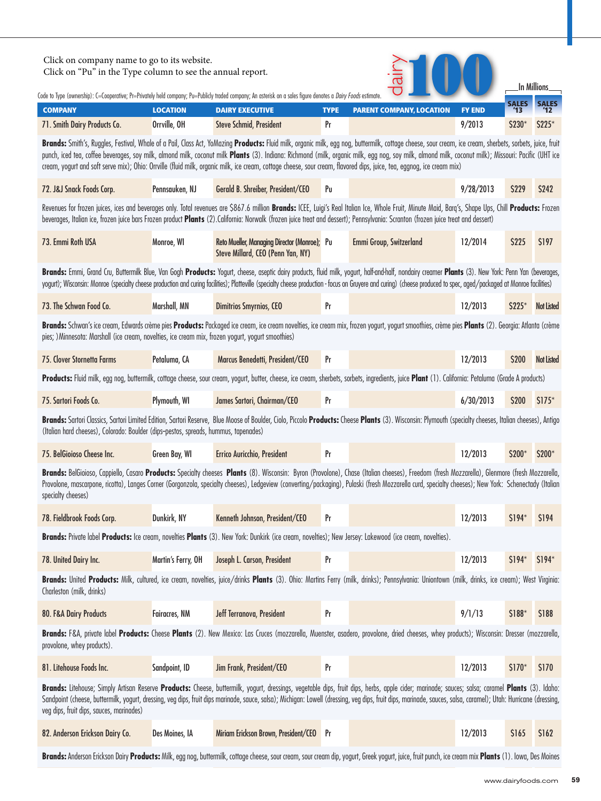| Click on company name to go to its website.<br>Click on "Pu" in the Type column to see the annual report.<br>In Millions<br>Code to Type (ownership): C=Cooperative; Pr=Privately held company; Pu=Publicly traded company; An asterisk on a sales figure denotes a <i>Dairy Foods</i> estimate.                                                                                                                                                                                                                                                                                         |                      |                                                                                                                                                                                                                                                                                                                                                                                                                              |             |                                 |               |                    |                   |  |
|------------------------------------------------------------------------------------------------------------------------------------------------------------------------------------------------------------------------------------------------------------------------------------------------------------------------------------------------------------------------------------------------------------------------------------------------------------------------------------------------------------------------------------------------------------------------------------------|----------------------|------------------------------------------------------------------------------------------------------------------------------------------------------------------------------------------------------------------------------------------------------------------------------------------------------------------------------------------------------------------------------------------------------------------------------|-------------|---------------------------------|---------------|--------------------|-------------------|--|
| <b>COMPANY</b>                                                                                                                                                                                                                                                                                                                                                                                                                                                                                                                                                                           | <b>LOCATION</b>      | <b>DAIRY EXECUTIVE</b>                                                                                                                                                                                                                                                                                                                                                                                                       | <b>TYPE</b> | <b>PARENT COMPANY, LOCATION</b> | <b>FY END</b> | <b>SALES</b><br>13 |                   |  |
| 71. Smith Dairy Products Co.                                                                                                                                                                                                                                                                                                                                                                                                                                                                                                                                                             | Orrville, OH         | <b>Steve Schmid, President</b>                                                                                                                                                                                                                                                                                                                                                                                               | Pr          |                                 | 9/2013        | \$230*             | \$225*            |  |
| Brands: Smith's, Ruggles, Festival, Whale of a Pail, Class Act, YoMazing Products: Fluid milk, organic milk, egg nog, buttermilk, cottage cheese, sour cream, ice cream, sherbets, sorbets, juice, fruit<br>punch, iced tea, coffee beverages, soy milk, almond milk, coconut milk Plants (3). Indiana: Richmond (milk, organic milk, egg nog, soy milk, almond milk, coconut milk); Missouri: Pacific (UHT ice<br>cream, yogurt and soft serve mix); Ohio: Orrville (fluid milk, organic milk, ice cream, cottage cheese, sour cream, flavored dips, juice, tea, eggnog, ice cream mix) |                      |                                                                                                                                                                                                                                                                                                                                                                                                                              |             |                                 |               |                    |                   |  |
| 72. J&J Snack Foods Corp.                                                                                                                                                                                                                                                                                                                                                                                                                                                                                                                                                                | Pennsauken, NJ       | Gerald B. Shreiber, President/CEO                                                                                                                                                                                                                                                                                                                                                                                            | Pu          |                                 | 9/28/2013     | <b>\$229</b>       | <b>S242</b>       |  |
| Revenues for frozen juices, ices and beverages only. Total revenues are \$867.6 million Brands: ICEE, Luigi's Real Italian Ice, Whole Fruit, Minute Maid, Barq's, Shape Ups, Chill Products: Frozen<br>beverages, Italian ice, frozen juice bars Frozen product Plants (2). California: Norwalk (frozen juice treat and dessert); Pennsylvania: Scranton (frozen juice treat and dessert)                                                                                                                                                                                                |                      |                                                                                                                                                                                                                                                                                                                                                                                                                              |             |                                 |               |                    |                   |  |
| 73. Emmi Roth USA                                                                                                                                                                                                                                                                                                                                                                                                                                                                                                                                                                        | Monroe, WI           | Reto Mueller, Managing Director (Monroe); Pu<br>Steve Millard, CEO (Penn Yan, NY)                                                                                                                                                                                                                                                                                                                                            |             | Emmi Group, Switzerland         | 12/2014       | \$225              | \$197             |  |
|                                                                                                                                                                                                                                                                                                                                                                                                                                                                                                                                                                                          |                      | Brands: Emmi, Grand Cru, Buttermilk Blue, Van Gogh Products: Yogurt, cheese, aseptic dairy products, fluid milk, yogurt, half-and-half, nondairy creamer Plants (3). New York: Penn Yan (beverages,<br>yogurt); Wisconsin: Monroe (specialty cheese production and curing facilities); Platteville (specialty cheese production - focus on Gruyere and curing) (cheese produced to spec, aged/packaged at Monroe facilities) |             |                                 |               |                    |                   |  |
| 73. The Schwan Food Co.                                                                                                                                                                                                                                                                                                                                                                                                                                                                                                                                                                  | Marshall, MN         | <b>Dimitrios Smyrnios, CEO</b>                                                                                                                                                                                                                                                                                                                                                                                               | Pr          |                                 | 12/2013       | S225*              | <b>Not Listed</b> |  |
| Brands: Schwan's ice cream, Edwards crème pies Products: Packaged ice cream, ice cream novelties, ice cream mix, frozen yogurt, yogurt smoothies, crème pies Plants (2). Georgia: Atlanta (crème<br>pies; ) Minnesota: Marshall (ice cream, novelties, ice cream mix, frozen yogurt, yogurt smoothies)                                                                                                                                                                                                                                                                                   |                      |                                                                                                                                                                                                                                                                                                                                                                                                                              |             |                                 |               |                    |                   |  |
| 75. Clover Stornetta Farms                                                                                                                                                                                                                                                                                                                                                                                                                                                                                                                                                               | Petaluma, CA         | Marcus Benedetti, President/CEO                                                                                                                                                                                                                                                                                                                                                                                              | Pr          |                                 | 12/2013       | \$200              | <b>Not Listed</b> |  |
|                                                                                                                                                                                                                                                                                                                                                                                                                                                                                                                                                                                          |                      | Products: Fluid milk, egg nog, buttermilk, cottage cheese, sour cream, yogurt, butter, cheese, ice cream, sherbets, sorbets, ingredients, juice Plant (1). California: Petaluma (Grade A products)                                                                                                                                                                                                                           |             |                                 |               |                    |                   |  |
| 75. Sartori Foods Co.                                                                                                                                                                                                                                                                                                                                                                                                                                                                                                                                                                    | Plymouth, WI         | James Sartori, Chairman/CEO                                                                                                                                                                                                                                                                                                                                                                                                  | Pr          |                                 | 6/30/2013     | \$200              | $$175^*$          |  |
| (Italian hard cheeses), Colorado: Boulder (dips-pestos, spreads, hummus, tapenades)                                                                                                                                                                                                                                                                                                                                                                                                                                                                                                      |                      | Brands: Sartori Classics, Sartori Limited Edition, Sartori Reserve, Blue Moose of Boulder, Ciolo, Piccolo Products: Cheese Plants (3). Wisconsin: Plymouth (specialty cheeses, Italian cheeses), Antigo                                                                                                                                                                                                                      |             |                                 |               |                    |                   |  |
| 75. BelGioioso Cheese Inc.                                                                                                                                                                                                                                                                                                                                                                                                                                                                                                                                                               | Green Bay, WI        | Errico Auricchio, President                                                                                                                                                                                                                                                                                                                                                                                                  | Pr          |                                 | 12/2013       | \$200*             | \$200*            |  |
| specialty cheeses)                                                                                                                                                                                                                                                                                                                                                                                                                                                                                                                                                                       |                      | Brands: BelGioioso, Cappiello, Casaro Products: Specialty cheeses Plants (8). Wisconsin: Byron (Provolone), Chase (Italian cheeses), Freedom (fresh Mozzarella), Glenmore (fresh Mozzarella,<br>Provolone, mascarpone, ricotta), Langes Corner (Gorgonzola, specialty cheeses), Ledgeview (converting/packaging), Pulaski (fresh Mozzarella curd, specialty cheeses); New York: Schenectady (Italian                         |             |                                 |               |                    |                   |  |
| 78. Fieldbrook Foods Corp.                                                                                                                                                                                                                                                                                                                                                                                                                                                                                                                                                               | Dunkirk, NY          | Kenneth Johnson, President/CEO                                                                                                                                                                                                                                                                                                                                                                                               | Pr          |                                 | 12/2013       | $$194*$            | \$194             |  |
|                                                                                                                                                                                                                                                                                                                                                                                                                                                                                                                                                                                          |                      | Brands: Private label Products: Ice cream, novelties Plants (3). New York: Dunkirk (ice cream, novelties); New Jersey: Lakewood (ice cream, novelties).                                                                                                                                                                                                                                                                      |             |                                 |               |                    |                   |  |
| 78. United Dairy Inc.                                                                                                                                                                                                                                                                                                                                                                                                                                                                                                                                                                    | Martin's Ferry, OH   | Joseph L. Carson, President                                                                                                                                                                                                                                                                                                                                                                                                  | Pr          |                                 | 12/2013       | \$194*             | $$194*$           |  |
| Charleston (milk, drinks)                                                                                                                                                                                                                                                                                                                                                                                                                                                                                                                                                                |                      | Brands: United Products: Milk, cultured, ice cream, novelties, juice/drinks Plants (3). Ohio: Martins Ferry (milk, drinks); Pennsylvania: Uniontown (milk, drinks, ice cream); West Virginia:                                                                                                                                                                                                                                |             |                                 |               |                    |                   |  |
| 80. F&A Dairy Products                                                                                                                                                                                                                                                                                                                                                                                                                                                                                                                                                                   | <b>Fairacres, NM</b> | Jeff Terranova, President                                                                                                                                                                                                                                                                                                                                                                                                    | Pr          |                                 | 9/1/13        | \$188*             | \$188             |  |
| provolone, whey products).                                                                                                                                                                                                                                                                                                                                                                                                                                                                                                                                                               |                      | Brands: F&A, private label Products: Cheese Plants (2). New Mexico: Las Cruces (mozzarella, Muenster, asadero, provolone, dried cheeses, whey products); Wisconsin: Dresser (mozzarella,                                                                                                                                                                                                                                     |             |                                 |               |                    |                   |  |
| 81. Litehouse Foods Inc.                                                                                                                                                                                                                                                                                                                                                                                                                                                                                                                                                                 | Sandpoint, ID        | Jim Frank, President/CEO                                                                                                                                                                                                                                                                                                                                                                                                     | Pr          |                                 | 12/2013       | $$170*$            | \$170             |  |
| veg dips, fruit dips, sauces, marinades)                                                                                                                                                                                                                                                                                                                                                                                                                                                                                                                                                 |                      | Brands: Litehouse; Simply Artisan Reserve Products: Cheese, buttermilk, yogurt, dressings, vegetable dips, fruit dips, herbs, apple cider; marinade; sauces; salsa; caramel Plants (3). Idaho:<br>Sandpoint (cheese, buttermilk, yogurt, dressing, veg dips, fruit dips marinade, sauce, salsa); Michigan: Lowell (dressing, veg dips, fruit dips, marinade, sauces, salsa, caramel); Utah: Hurricane (dressing,             |             |                                 |               |                    |                   |  |
| 82. Anderson Erickson Dairy Co.                                                                                                                                                                                                                                                                                                                                                                                                                                                                                                                                                          | Des Moines, IA       | Miriam Erickson Brown, President/CEO                                                                                                                                                                                                                                                                                                                                                                                         | Pr          |                                 | 12/2013       | \$165              | \$162             |  |
|                                                                                                                                                                                                                                                                                                                                                                                                                                                                                                                                                                                          |                      |                                                                                                                                                                                                                                                                                                                                                                                                                              |             |                                 |               |                    |                   |  |

**Brands:** Anderson Erickson Dairy **Products:** Milk, egg nog, buttermilk, cottage cheese, sour cream, sour cream dip, yogurt, Greek yogurt, juice, fruit punch, ice cream mix **Plants** (1). Iowa, Des Moines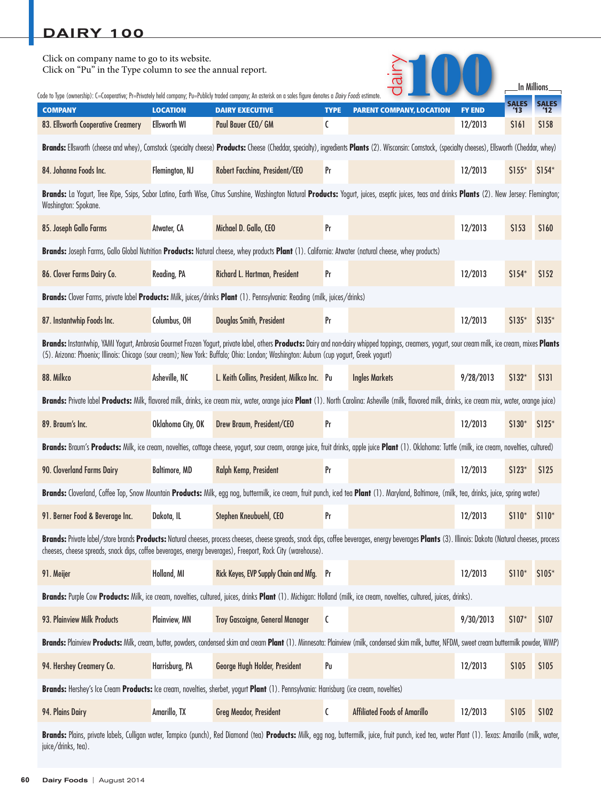| Click on company name to go to its website.<br>Click on "Pu" in the Type column to see the annual report.                                                                                                                                                                                                                                   |                                        |                                                                                                                                                                                                                                                                                                                    |                  |                                     |                          |              | In Millions. |
|---------------------------------------------------------------------------------------------------------------------------------------------------------------------------------------------------------------------------------------------------------------------------------------------------------------------------------------------|----------------------------------------|--------------------------------------------------------------------------------------------------------------------------------------------------------------------------------------------------------------------------------------------------------------------------------------------------------------------|------------------|-------------------------------------|--------------------------|--------------|--------------|
| Code to Type (ownership): C=Cooperative; Pr=Privately held company; Pu=Publicly traded company; An asterisk on a sales figure denotes a <i>Dairy Foods</i> estimate                                                                                                                                                                         |                                        |                                                                                                                                                                                                                                                                                                                    |                  |                                     |                          | <b>SALES</b> | <b>SALES</b> |
| <b>COMPANY</b><br>83. Ellsworth Cooperative Creamery                                                                                                                                                                                                                                                                                        | <b>LOCATION</b><br><b>Ellsworth WI</b> | <b>DAIRY EXECUTIVE</b><br>Paul Bauer CEO/ GM                                                                                                                                                                                                                                                                       | <b>TYPE</b><br>C | <b>PARENT COMPANY, LOCATION</b>     | <b>FY END</b><br>12/2013 | \$161        | \$158        |
|                                                                                                                                                                                                                                                                                                                                             |                                        | Brands: Ellsworth (cheese and whey), Comstock (specialty cheese) Products: Cheese (Cheddar, specialty), ingredients Plants (2). Wisconsin: Comstock, (specialty cheeses), Ellsworth (Cheddar, whey)                                                                                                                |                  |                                     |                          |              |              |
| 84. Johanna Foods Inc.                                                                                                                                                                                                                                                                                                                      | Flemington, NJ                         | Robert Facchina, President/CEO                                                                                                                                                                                                                                                                                     | Pr               |                                     | 12/2013                  | $$155*$      | $$154*$      |
| Washington: Spokane.                                                                                                                                                                                                                                                                                                                        |                                        | Brands: La Yogurt, Tree Ripe, Ssips, Sabor Latino, Earth Wise, Citrus Sunshine, Washington Natural Products: Yogurt, juices, aseptic juices, teas and drinks Plants (2). New Jersey: Flemington;                                                                                                                   |                  |                                     |                          |              |              |
| 85. Joseph Gallo Farms                                                                                                                                                                                                                                                                                                                      | Atwater, CA                            | Michael D. Gallo, CEO                                                                                                                                                                                                                                                                                              | Pr               |                                     | 12/2013                  | \$153        | \$160        |
|                                                                                                                                                                                                                                                                                                                                             |                                        | Brands: Joseph Farms, Gallo Global Nutrition Products: Natural cheese, whey products Plant (1). California: Atwater (natural cheese, whey products)                                                                                                                                                                |                  |                                     |                          |              |              |
| 86. Clover Farms Dairy Co.                                                                                                                                                                                                                                                                                                                  | Reading, PA                            | Richard L. Hartman, President                                                                                                                                                                                                                                                                                      | Pr               |                                     | 12/2013                  | $$154*$      | \$152        |
|                                                                                                                                                                                                                                                                                                                                             |                                        | Brands: Clover Farms, private label Products: Milk, juices/drinks Plant (1). Pennsylvania: Reading (milk, juices/drinks)                                                                                                                                                                                           |                  |                                     |                          |              |              |
| 87. Instantwhip Foods Inc.                                                                                                                                                                                                                                                                                                                  | Columbus, OH                           | Douglas Smith, President                                                                                                                                                                                                                                                                                           | Pr               |                                     | 12/2013                  | $$135*$      | $$135*$      |
| Brands: Instantwhip, YAMI Yogurt, Ambrosia Gourmet Frozen Yogurt, private label, others Products: Dairy and non-dairy whipped toppings, creamers, yogurt, sour cream milk, ice cream, mixes Plants<br>(5). Arizona: Phoenix; Illinois: Chicago (sour cream); New York: Buffalo; Ohio: London; Washington: Auburn (cup yogurt, Greek yogurt) |                                        |                                                                                                                                                                                                                                                                                                                    |                  |                                     |                          |              |              |
| 88. Milkco                                                                                                                                                                                                                                                                                                                                  | Asheville, NC                          | L. Keith Collins, President, Milkco Inc. Pu                                                                                                                                                                                                                                                                        |                  | <b>Ingles Markets</b>               | 9/28/2013                | \$132*       | \$131        |
|                                                                                                                                                                                                                                                                                                                                             |                                        | Brands: Private label Products: Milk, flavored milk, drinks, ice cream mix, water, orange juice Plant (1). North Carolina: Asheville (milk, flavored milk, drinks, ice cream mix, water, orange juice)                                                                                                             |                  |                                     |                          |              |              |
| 89. Braum's Inc.                                                                                                                                                                                                                                                                                                                            | Oklahoma City, OK                      | Drew Braum, President/CEO                                                                                                                                                                                                                                                                                          | Pr               |                                     | 12/2013                  | $$130*$      | $$125*$      |
|                                                                                                                                                                                                                                                                                                                                             |                                        | Brands: Braum's Products: Milk, ice cream, novelties, cottage cheese, yogurt, sour cream, orange juice, fruit drinks, apple juice Plant (1). Oklahoma: Tuttle (milk, ice cream, novelties, cultured)                                                                                                               |                  |                                     |                          |              |              |
| 90. Cloverland Farms Dairy                                                                                                                                                                                                                                                                                                                  | <b>Baltimore, MD</b>                   | Ralph Kemp, President                                                                                                                                                                                                                                                                                              | Pr               |                                     | 12/2013                  | $$123*$      | \$125        |
|                                                                                                                                                                                                                                                                                                                                             |                                        | Brands: Cloverland, Coffee Top, Snow Mountain Products: Milk, egg nog, buttermilk, ice cream, fruit punch, iced tea Plant (1). Maryland, Baltimore, (milk, tea, drinks, juice, spring water)                                                                                                                       |                  |                                     |                          |              |              |
| 91. Berner Food & Beverage Inc.                                                                                                                                                                                                                                                                                                             | Dakota, IL                             | Stephen Kneubuehl, CEO                                                                                                                                                                                                                                                                                             | Pr               |                                     | 12/2013                  | $$110*$      | $$110*$      |
|                                                                                                                                                                                                                                                                                                                                             |                                        | Brands: Private label/store brands Products: Natural cheeses, process cheeses, cheese spreads, snack dips, coffee beverages, energy beverages Plants (3). Illinois: Dakota (Natural cheeses, process<br>cheeses, cheese spreads, snack dips, coffee beverages, energy beverages), Freeport, Rock City (warehouse). |                  |                                     |                          |              |              |
| 91. Meijer                                                                                                                                                                                                                                                                                                                                  | Holland, MI                            | Rick Keyes, EVP Supply Chain and Mfg.                                                                                                                                                                                                                                                                              | Pr               |                                     | 12/2013                  | $$110*$      | \$105*       |
|                                                                                                                                                                                                                                                                                                                                             |                                        | Brands: Purple Cow Products: Milk, ice cream, novelties, cultured, juices, drinks Plant (1). Michigan: Holland (milk, ice cream, novelties, cultured, juices, drinks).                                                                                                                                             |                  |                                     |                          |              |              |
| 93. Plainview Milk Products                                                                                                                                                                                                                                                                                                                 | Plainview, MN                          | Troy Gascoigne, General Manager                                                                                                                                                                                                                                                                                    | C                |                                     | 9/30/2013                | $$107*$      | \$107        |
|                                                                                                                                                                                                                                                                                                                                             |                                        | Brands: Plainview Products: Milk, cream, butter, powders, condensed skim and cream Plant (1). Minnesota: Plainview (milk, condensed skim milk, butter, NFDM, sweet cream buttermilk powder, WMP)                                                                                                                   |                  |                                     |                          |              |              |
| 94. Hershey Creamery Co.                                                                                                                                                                                                                                                                                                                    | Harrisburg, PA                         | George Hugh Holder, President                                                                                                                                                                                                                                                                                      | Pu               |                                     | 12/2013                  | \$105        | \$105        |
|                                                                                                                                                                                                                                                                                                                                             |                                        | Brands: Hershey's Ice Cream Products: Ice cream, novelties, sherbet, yogurt Plant (1). Pennsylvania: Harrisburg (ice cream, novelties)                                                                                                                                                                             |                  |                                     |                          |              |              |
| 94. Plains Dairy                                                                                                                                                                                                                                                                                                                            | Amarillo, TX                           | <b>Greg Meador, President</b>                                                                                                                                                                                                                                                                                      | C                | <b>Affiliated Foods of Amarillo</b> | 12/2013                  | \$105        | \$102        |
|                                                                                                                                                                                                                                                                                                                                             |                                        | prints labels Culligan water Jampice (punch). Red Diamond (tog) <b>Dreductes</b> Milk egg neg buttermilk ivice fruit punch iced teg water Plant (1) Jevec: Amarille (milk                                                                                                                                          |                  |                                     |                          |              |              |

**Brands:** Plains, private labels, Culligan water, Tampico (punch), Red Diamond (tea) **Products:** Milk, egg nog, buttermilk, juice, fruit punch, iced tea, water Plant (1). Texas: Amarillo (milk, water, juice/drinks, tea).